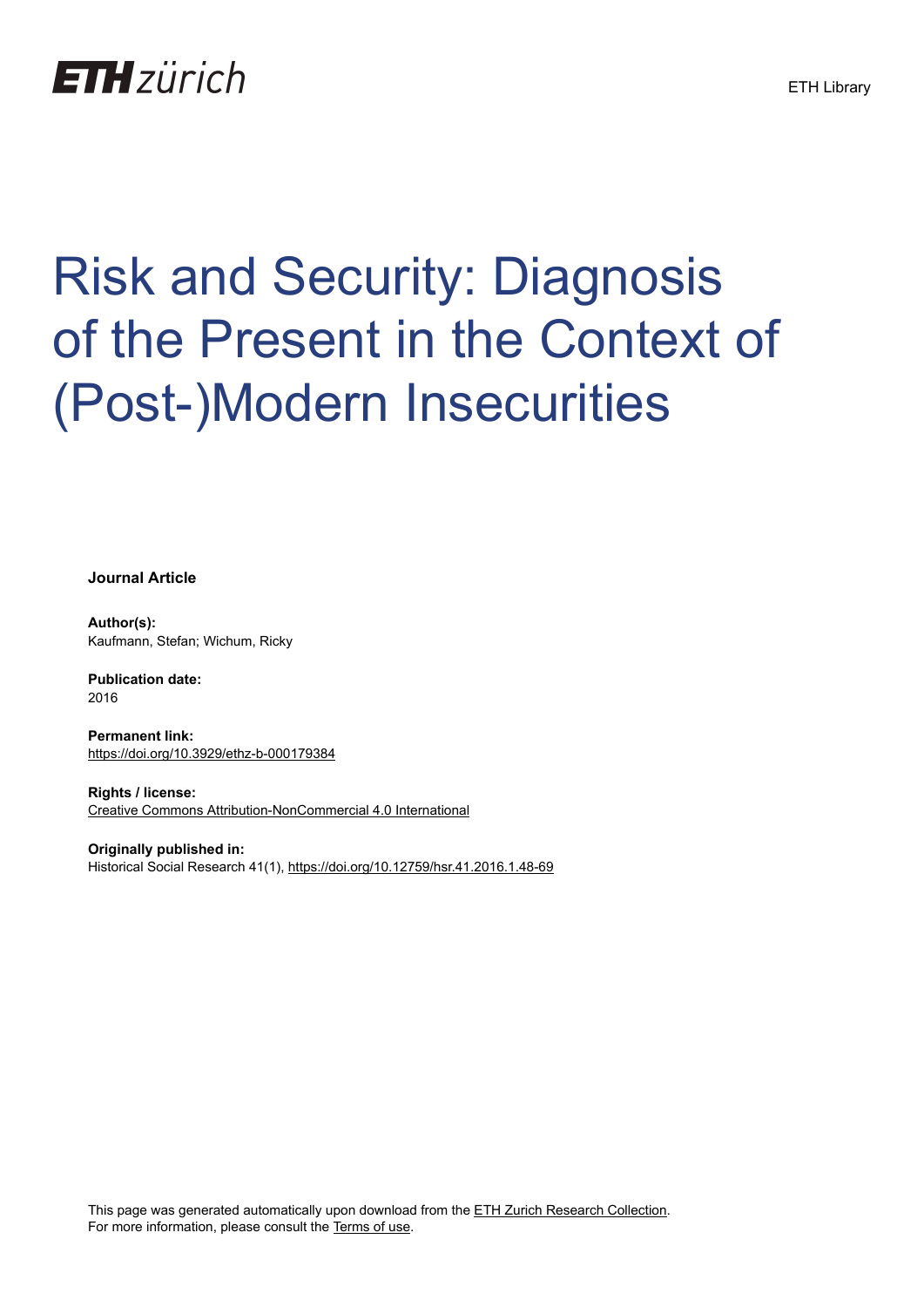## **ETH**zürich

# Risk and Security: Diagnosis of the Present in the Context of (Post-)Modern Insecurities

**Journal Article**

**Author(s):** Kaufmann, Stefan; Wichum, Ricky

**Publication date:** 2016

**Permanent link:** <https://doi.org/10.3929/ethz-b-000179384>

**Rights / license:** [Creative Commons Attribution-NonCommercial 4.0 International](http://creativecommons.org/licenses/by-nc/4.0/)

**Originally published in:** Historical Social Research 41(1), <https://doi.org/10.12759/hsr.41.2016.1.48-69>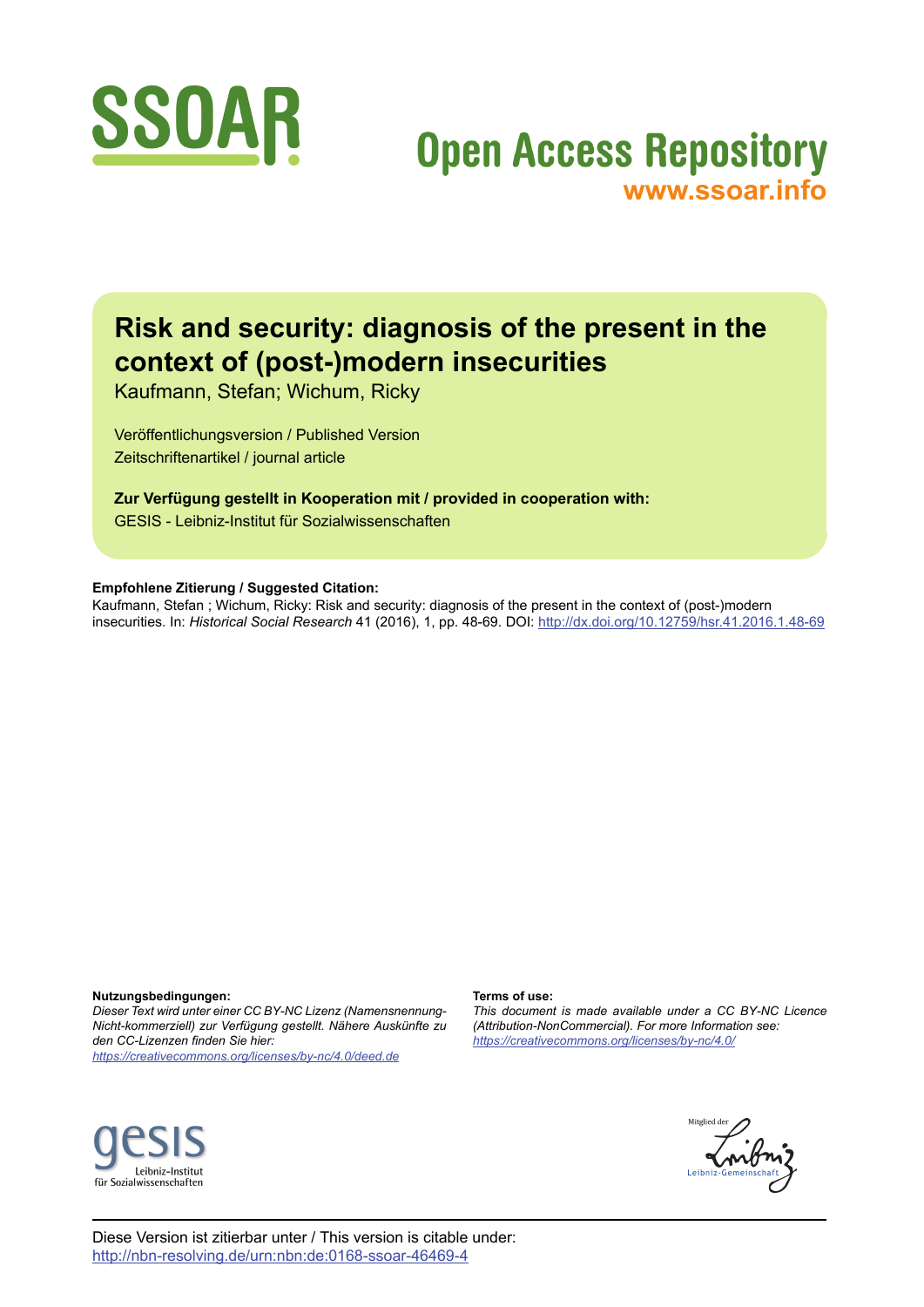

## **Open Access Repository [www.ssoar.info](http://www.ssoar.info)**

### **Risk and security: diagnosis of the present in the context of (post-)modern insecurities**

Kaufmann, Stefan; Wichum, Ricky

Veröffentlichungsversion / Published Version Zeitschriftenartikel / journal article

**Zur Verfügung gestellt in Kooperation mit / provided in cooperation with:** GESIS - Leibniz-Institut für Sozialwissenschaften

#### **Empfohlene Zitierung / Suggested Citation:**

Kaufmann, Stefan ; Wichum, Ricky: Risk and security: diagnosis of the present in the context of (post-)modern insecurities. In: *Historical Social Research* 41 (2016), 1, pp. 48-69. DOI: <http://dx.doi.org/10.12759/hsr.41.2016.1.48-69>

**Nutzungsbedingungen:**

*Dieser Text wird unter einer CC BY-NC Lizenz (Namensnennung-Nicht-kommerziell) zur Verfügung gestellt. Nähere Auskünfte zu den CC-Lizenzen finden Sie hier: <https://creativecommons.org/licenses/by-nc/4.0/deed.de>*

#### **Terms of use:**

*This document is made available under a CC BY-NC Licence (Attribution-NonCommercial). For more Information see: <https://creativecommons.org/licenses/by-nc/4.0/>*





Diese Version ist zitierbar unter / This version is citable under: <http://nbn-resolving.de/urn:nbn:de:0168-ssoar-46469-4>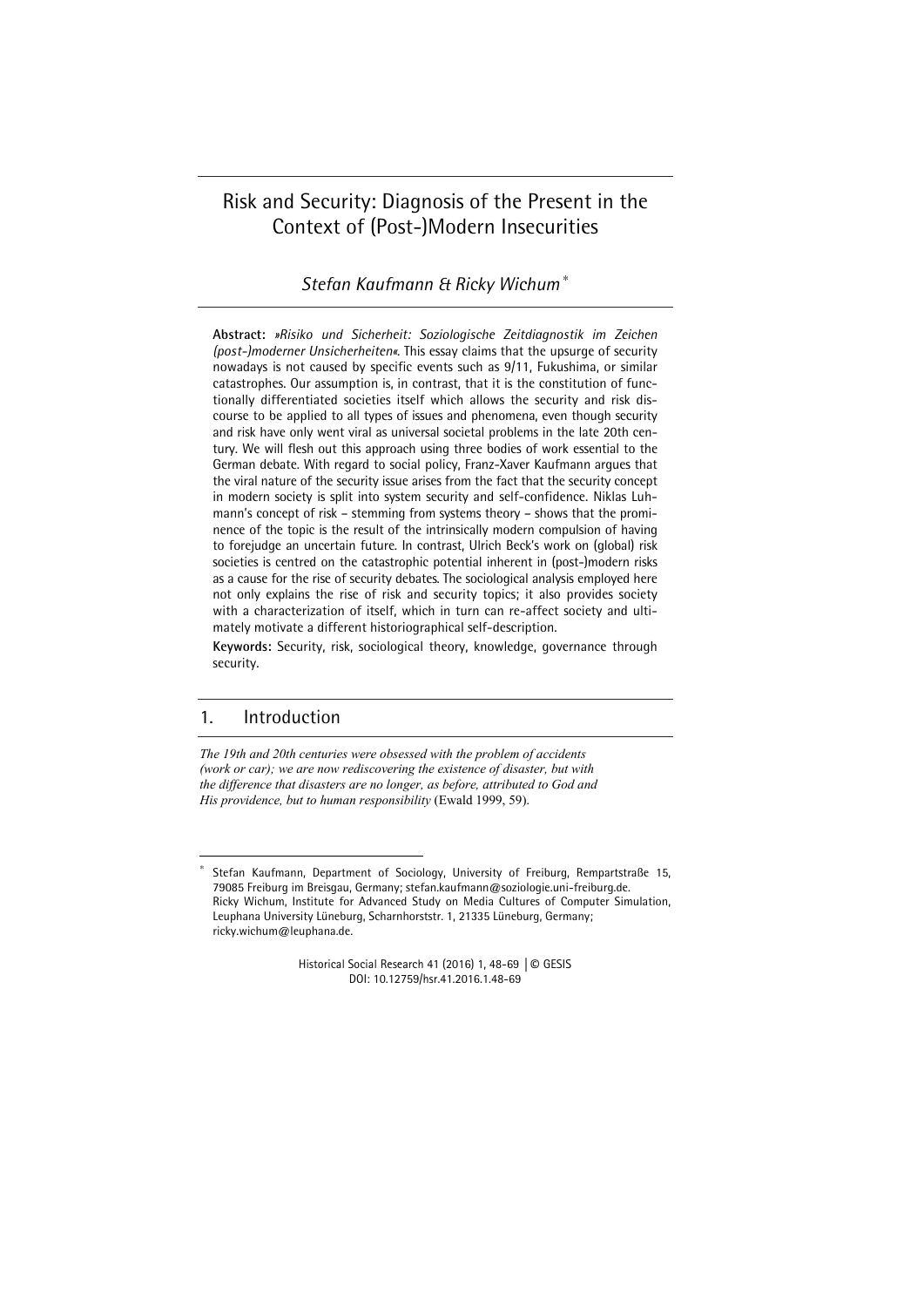#### Risk and Security: Diagnosis of the Present in the Context of (Post-)Modern Insecurities

*Stefan Kaufmann & Ricky Wichum* <sup>∗</sup>

**Abstract:** *»Risiko und Sicherheit: Soziologische Zeitdiagnostik im Zeichen (post-)moderner Unsicherheiten«*. This essay claims that the upsurge of security nowadays is not caused by specific events such as 9/11, Fukushima, or similar catastrophes. Our assumption is, in contrast, that it is the constitution of functionally differentiated societies itself which allows the security and risk discourse to be applied to all types of issues and phenomena, even though security and risk have only went viral as universal societal problems in the late 20th century. We will flesh out this approach using three bodies of work essential to the German debate. With regard to social policy, Franz-Xaver Kaufmann argues that the viral nature of the security issue arises from the fact that the security concept in modern society is split into system security and self-confidence. Niklas Luhmann's concept of risk – stemming from systems theory – shows that the prominence of the topic is the result of the intrinsically modern compulsion of having to forejudge an uncertain future. In contrast, Ulrich Beck's work on (global) risk societies is centred on the catastrophic potential inherent in (post-)modern risks as a cause for the rise of security debates. The sociological analysis employed here not only explains the rise of risk and security topics; it also provides society with a characterization of itself, which in turn can re-affect society and ultimately motivate a different historiographical self-description.

**Keywords:** Security, risk, sociological theory, knowledge, governance through security.

#### 1. Introduction

1

*The 19th and 20th centuries were obsessed with the problem of accidents (work or car); we are now rediscovering the existence of disaster, but with the difference that disasters are no longer, as before, attributed to God and His providence, but to human responsibility* (Ewald 1999, 59).

Historical Social Research 41 (2016) 1, 48-69 | © GESIS DOI: 10.12759/hsr.41.2016.1.48-69

<sup>∗</sup> Stefan Kaufmann, Department of Sociology, University of Freiburg, Rempartstraße 15, 79085 Freiburg im Breisgau, Germany; stefan.kaufmann@soziologie.uni-freiburg.de. Ricky Wichum, Institute for Advanced Study on Media Cultures of Computer Simulation, Leuphana University Lüneburg, Scharnhorststr. 1, 21335 Lüneburg, Germany; ricky.wichum@leuphana.de.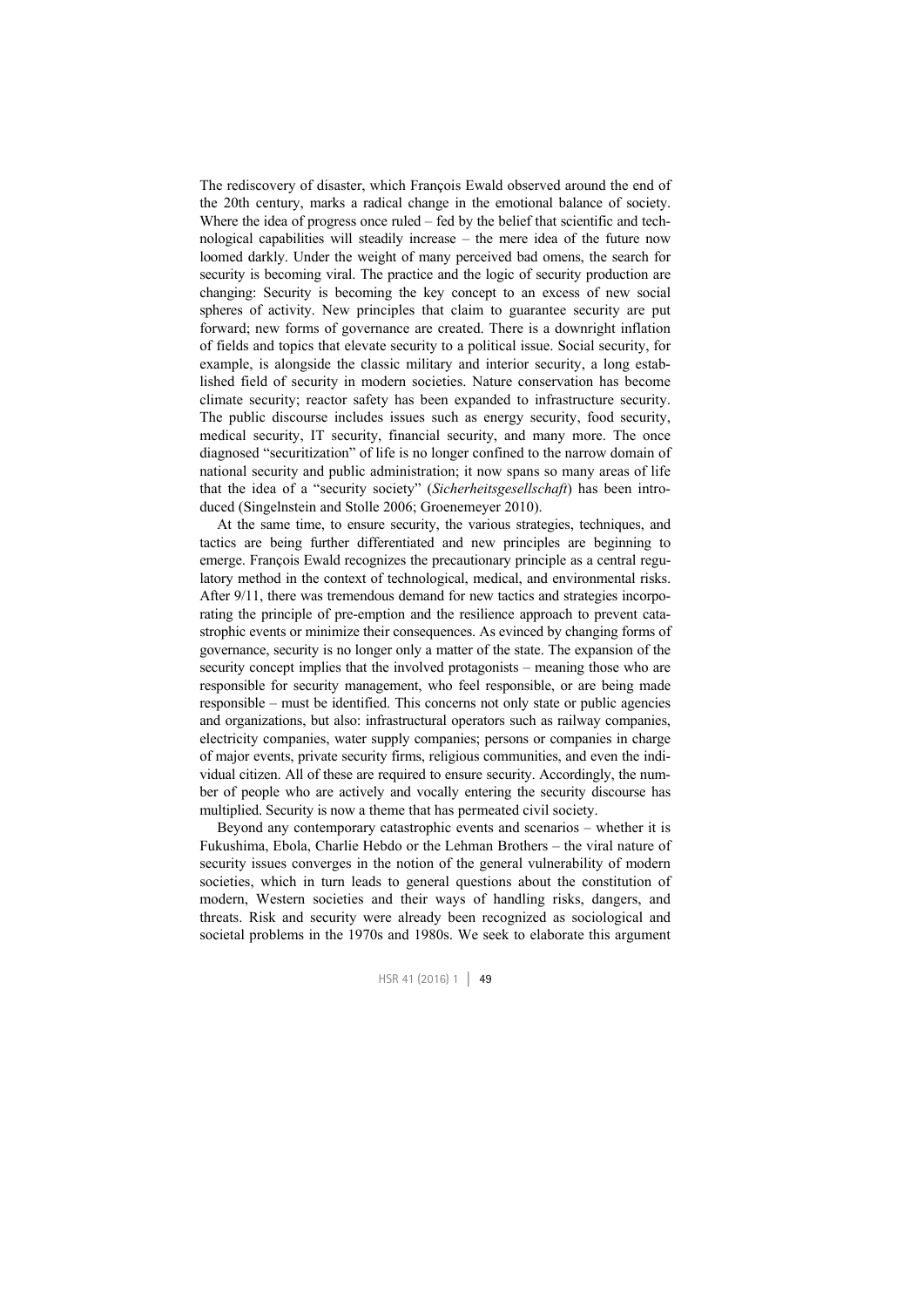The rediscovery of disaster, which François Ewald observed around the end of the 20th century, marks a radical change in the emotional balance of society. Where the idea of progress once ruled – fed by the belief that scientific and technological capabilities will steadily increase – the mere idea of the future now loomed darkly. Under the weight of many perceived bad omens, the search for security is becoming viral. The practice and the logic of security production are changing: Security is becoming the key concept to an excess of new social spheres of activity. New principles that claim to guarantee security are put forward; new forms of governance are created. There is a downright inflation of fields and topics that elevate security to a political issue. Social security, for example, is alongside the classic military and interior security, a long established field of security in modern societies. Nature conservation has become climate security; reactor safety has been expanded to infrastructure security. The public discourse includes issues such as energy security, food security, medical security, IT security, financial security, and many more. The once diagnosed "securitization" of life is no longer confined to the narrow domain of national security and public administration; it now spans so many areas of life that the idea of a "security society" (*Sicherheitsgesellschaft*) has been introduced (Singelnstein and Stolle 2006; Groenemeyer 2010).

At the same time, to ensure security, the various strategies, techniques, and tactics are being further differentiated and new principles are beginning to emerge. François Ewald recognizes the precautionary principle as a central regulatory method in the context of technological, medical, and environmental risks. After 9/11, there was tremendous demand for new tactics and strategies incorporating the principle of pre-emption and the resilience approach to prevent catastrophic events or minimize their consequences. As evinced by changing forms of governance, security is no longer only a matter of the state. The expansion of the security concept implies that the involved protagonists – meaning those who are responsible for security management, who feel responsible, or are being made responsible – must be identified. This concerns not only state or public agencies and organizations, but also: infrastructural operators such as railway companies, electricity companies, water supply companies; persons or companies in charge of major events, private security firms, religious communities, and even the individual citizen. All of these are required to ensure security. Accordingly, the number of people who are actively and vocally entering the security discourse has multiplied. Security is now a theme that has permeated civil society.

Beyond any contemporary catastrophic events and scenarios – whether it is Fukushima, Ebola, Charlie Hebdo or the Lehman Brothers – the viral nature of security issues converges in the notion of the general vulnerability of modern societies, which in turn leads to general questions about the constitution of modern, Western societies and their ways of handling risks, dangers, and threats. Risk and security were already been recognized as sociological and societal problems in the 1970s and 1980s. We seek to elaborate this argument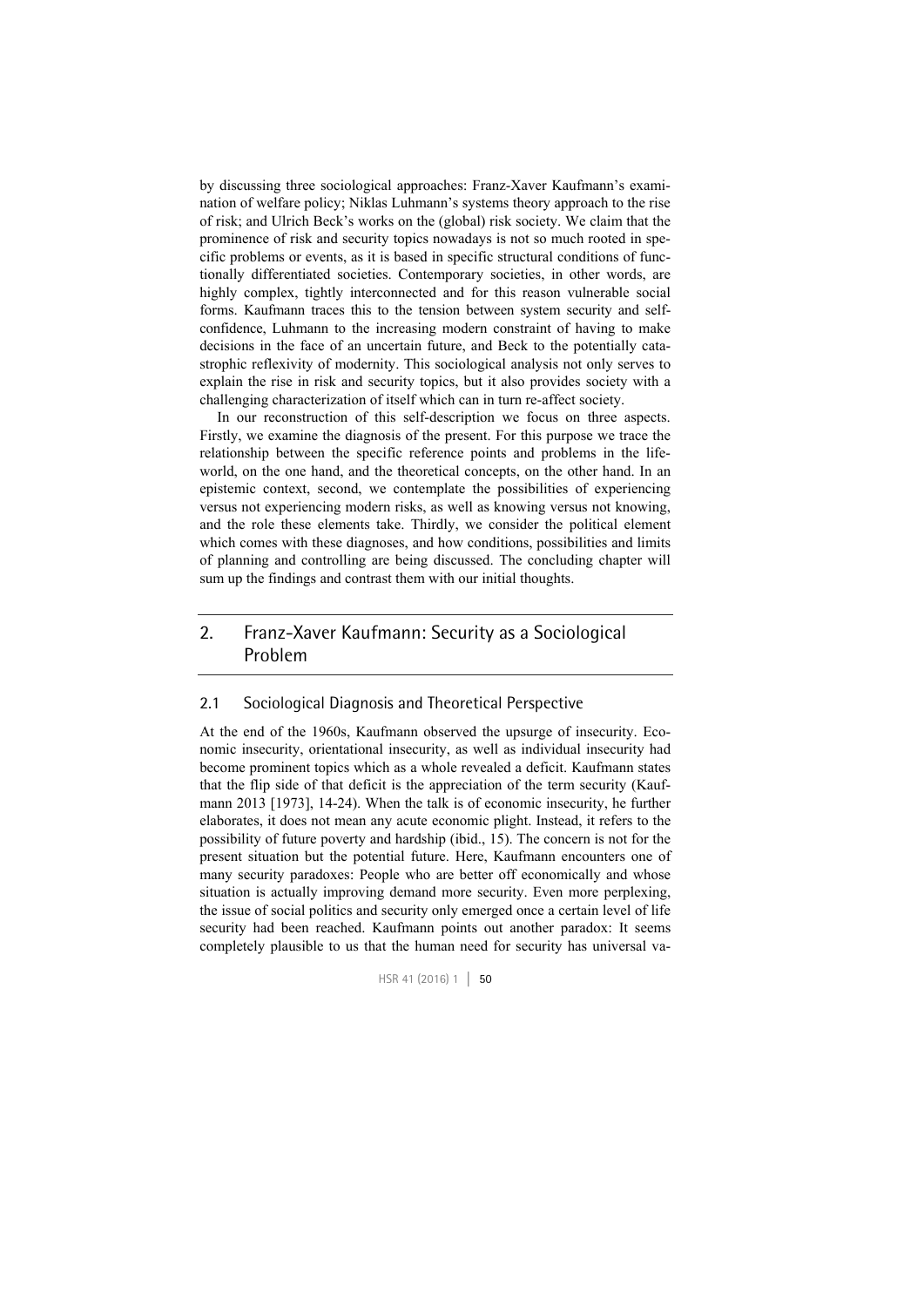by discussing three sociological approaches: Franz-Xaver Kaufmann's examination of welfare policy; Niklas Luhmann's systems theory approach to the rise of risk; and Ulrich Beck's works on the (global) risk society. We claim that the prominence of risk and security topics nowadays is not so much rooted in specific problems or events, as it is based in specific structural conditions of functionally differentiated societies. Contemporary societies, in other words, are highly complex, tightly interconnected and for this reason vulnerable social forms. Kaufmann traces this to the tension between system security and selfconfidence, Luhmann to the increasing modern constraint of having to make decisions in the face of an uncertain future, and Beck to the potentially catastrophic reflexivity of modernity. This sociological analysis not only serves to explain the rise in risk and security topics, but it also provides society with a challenging characterization of itself which can in turn re-affect society.

In our reconstruction of this self-description we focus on three aspects. Firstly, we examine the diagnosis of the present. For this purpose we trace the relationship between the specific reference points and problems in the lifeworld, on the one hand, and the theoretical concepts, on the other hand. In an epistemic context, second, we contemplate the possibilities of experiencing versus not experiencing modern risks, as well as knowing versus not knowing, and the role these elements take. Thirdly, we consider the political element which comes with these diagnoses, and how conditions, possibilities and limits of planning and controlling are being discussed. The concluding chapter will sum up the findings and contrast them with our initial thoughts.

#### 2. Franz-Xaver Kaufmann: Security as a Sociological Problem

#### 2.1 Sociological Diagnosis and Theoretical Perspective

At the end of the 1960s, Kaufmann observed the upsurge of insecurity. Economic insecurity, orientational insecurity, as well as individual insecurity had become prominent topics which as a whole revealed a deficit. Kaufmann states that the flip side of that deficit is the appreciation of the term security (Kaufmann 2013 [1973], 14-24). When the talk is of economic insecurity, he further elaborates, it does not mean any acute economic plight. Instead, it refers to the possibility of future poverty and hardship (ibid., 15). The concern is not for the present situation but the potential future. Here, Kaufmann encounters one of many security paradoxes: People who are better off economically and whose situation is actually improving demand more security. Even more perplexing, the issue of social politics and security only emerged once a certain level of life security had been reached. Kaufmann points out another paradox: It seems completely plausible to us that the human need for security has universal va-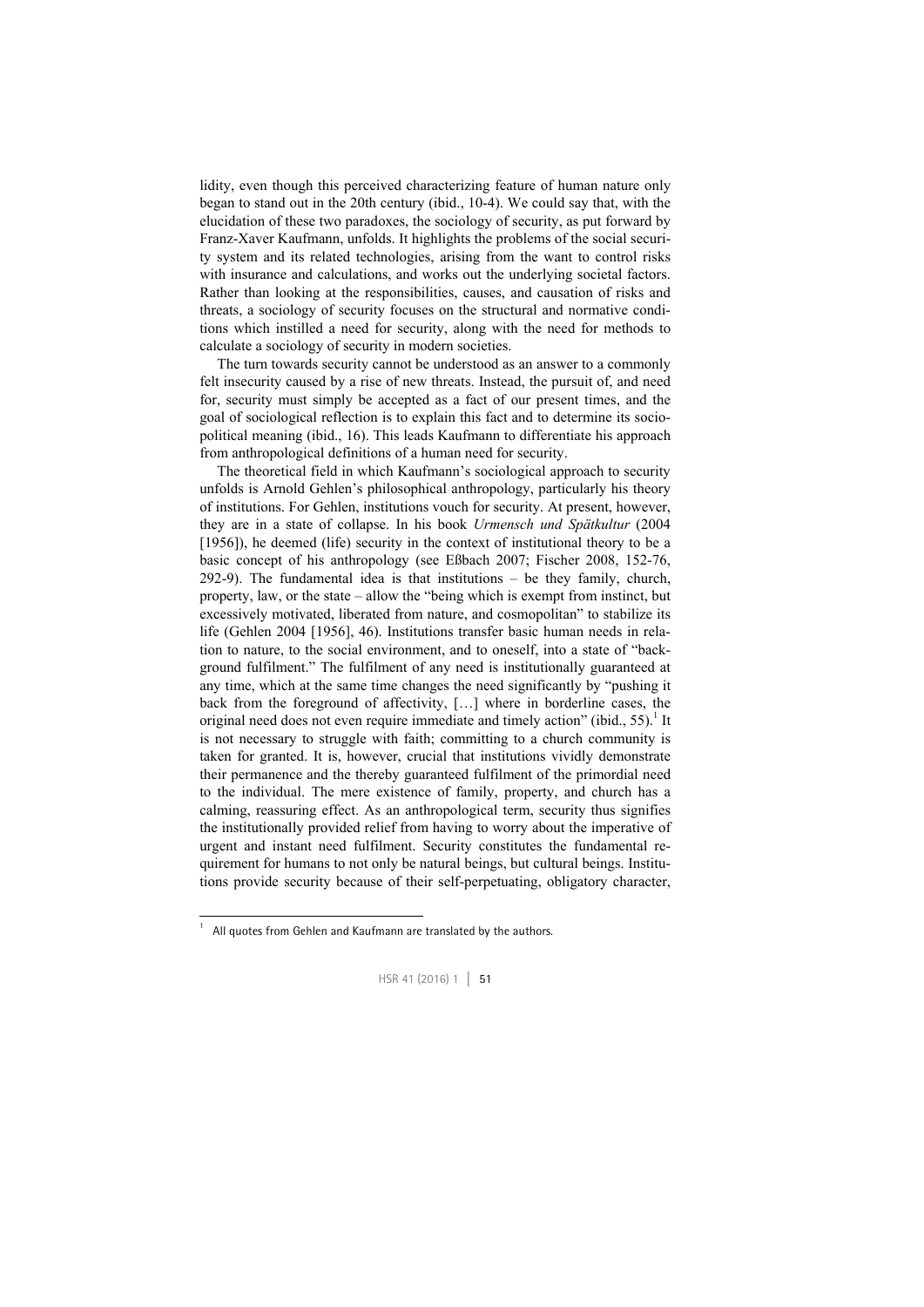lidity, even though this perceived characterizing feature of human nature only began to stand out in the 20th century (ibid., 10-4). We could say that, with the elucidation of these two paradoxes, the sociology of security, as put forward by Franz-Xaver Kaufmann, unfolds. It highlights the problems of the social security system and its related technologies, arising from the want to control risks with insurance and calculations, and works out the underlying societal factors. Rather than looking at the responsibilities, causes, and causation of risks and threats, a sociology of security focuses on the structural and normative conditions which instilled a need for security, along with the need for methods to calculate a sociology of security in modern societies.

The turn towards security cannot be understood as an answer to a commonly felt insecurity caused by a rise of new threats. Instead, the pursuit of, and need for, security must simply be accepted as a fact of our present times, and the goal of sociological reflection is to explain this fact and to determine its sociopolitical meaning (ibid., 16). This leads Kaufmann to differentiate his approach from anthropological definitions of a human need for security.

The theoretical field in which Kaufmann's sociological approach to security unfolds is Arnold Gehlen's philosophical anthropology, particularly his theory of institutions. For Gehlen, institutions vouch for security. At present, however, they are in a state of collapse. In his book *Urmensch und Spätkultur* (2004 [1956]), he deemed (life) security in the context of institutional theory to be a basic concept of his anthropology (see Eßbach 2007; Fischer 2008, 152-76, 292-9). The fundamental idea is that institutions – be they family, church, property, law, or the state – allow the "being which is exempt from instinct, but excessively motivated, liberated from nature, and cosmopolitan" to stabilize its life (Gehlen 2004 [1956], 46). Institutions transfer basic human needs in relation to nature, to the social environment, and to oneself, into a state of "background fulfilment." The fulfilment of any need is institutionally guaranteed at any time, which at the same time changes the need significantly by "pushing it back from the foreground of affectivity, […] where in borderline cases, the original need does not even require immediate and timely action" (ibid.,  $55$ ).<sup>1</sup> It is not necessary to struggle with faith; committing to a church community is taken for granted. It is, however, crucial that institutions vividly demonstrate their permanence and the thereby guaranteed fulfilment of the primordial need to the individual. The mere existence of family, property, and church has a calming, reassuring effect. As an anthropological term, security thus signifies the institutionally provided relief from having to worry about the imperative of urgent and instant need fulfilment. Security constitutes the fundamental requirement for humans to not only be natural beings, but cultural beings. Institutions provide security because of their self-perpetuating, obligatory character,

 1 All quotes from Gehlen and Kaufmann are translated by the authors.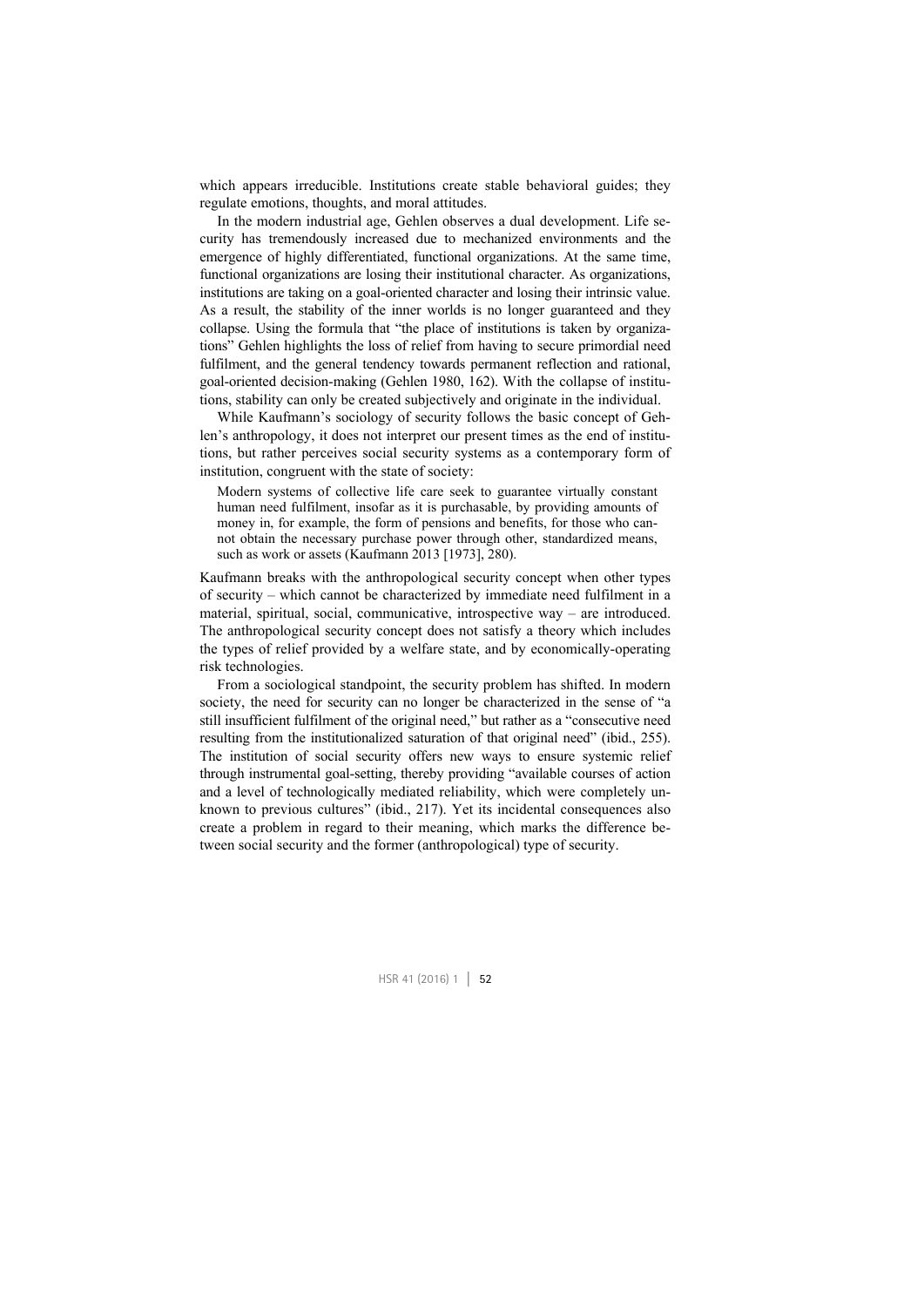which appears irreducible. Institutions create stable behavioral guides; they regulate emotions, thoughts, and moral attitudes.

In the modern industrial age, Gehlen observes a dual development. Life security has tremendously increased due to mechanized environments and the emergence of highly differentiated, functional organizations. At the same time, functional organizations are losing their institutional character. As organizations, institutions are taking on a goal-oriented character and losing their intrinsic value. As a result, the stability of the inner worlds is no longer guaranteed and they collapse. Using the formula that "the place of institutions is taken by organizations" Gehlen highlights the loss of relief from having to secure primordial need fulfilment, and the general tendency towards permanent reflection and rational, goal-oriented decision-making (Gehlen 1980, 162). With the collapse of institutions, stability can only be created subjectively and originate in the individual.

While Kaufmann's sociology of security follows the basic concept of Gehlen's anthropology, it does not interpret our present times as the end of institutions, but rather perceives social security systems as a contemporary form of institution, congruent with the state of society:

Modern systems of collective life care seek to guarantee virtually constant human need fulfilment, insofar as it is purchasable, by providing amounts of money in, for example, the form of pensions and benefits, for those who cannot obtain the necessary purchase power through other, standardized means, such as work or assets (Kaufmann 2013 [1973], 280).

Kaufmann breaks with the anthropological security concept when other types of security – which cannot be characterized by immediate need fulfilment in a material, spiritual, social, communicative, introspective way – are introduced. The anthropological security concept does not satisfy a theory which includes the types of relief provided by a welfare state, and by economically-operating risk technologies.

From a sociological standpoint, the security problem has shifted. In modern society, the need for security can no longer be characterized in the sense of "a still insufficient fulfilment of the original need," but rather as a "consecutive need resulting from the institutionalized saturation of that original need" (ibid., 255). The institution of social security offers new ways to ensure systemic relief through instrumental goal-setting, thereby providing "available courses of action and a level of technologically mediated reliability, which were completely unknown to previous cultures" (ibid., 217). Yet its incidental consequences also create a problem in regard to their meaning, which marks the difference between social security and the former (anthropological) type of security.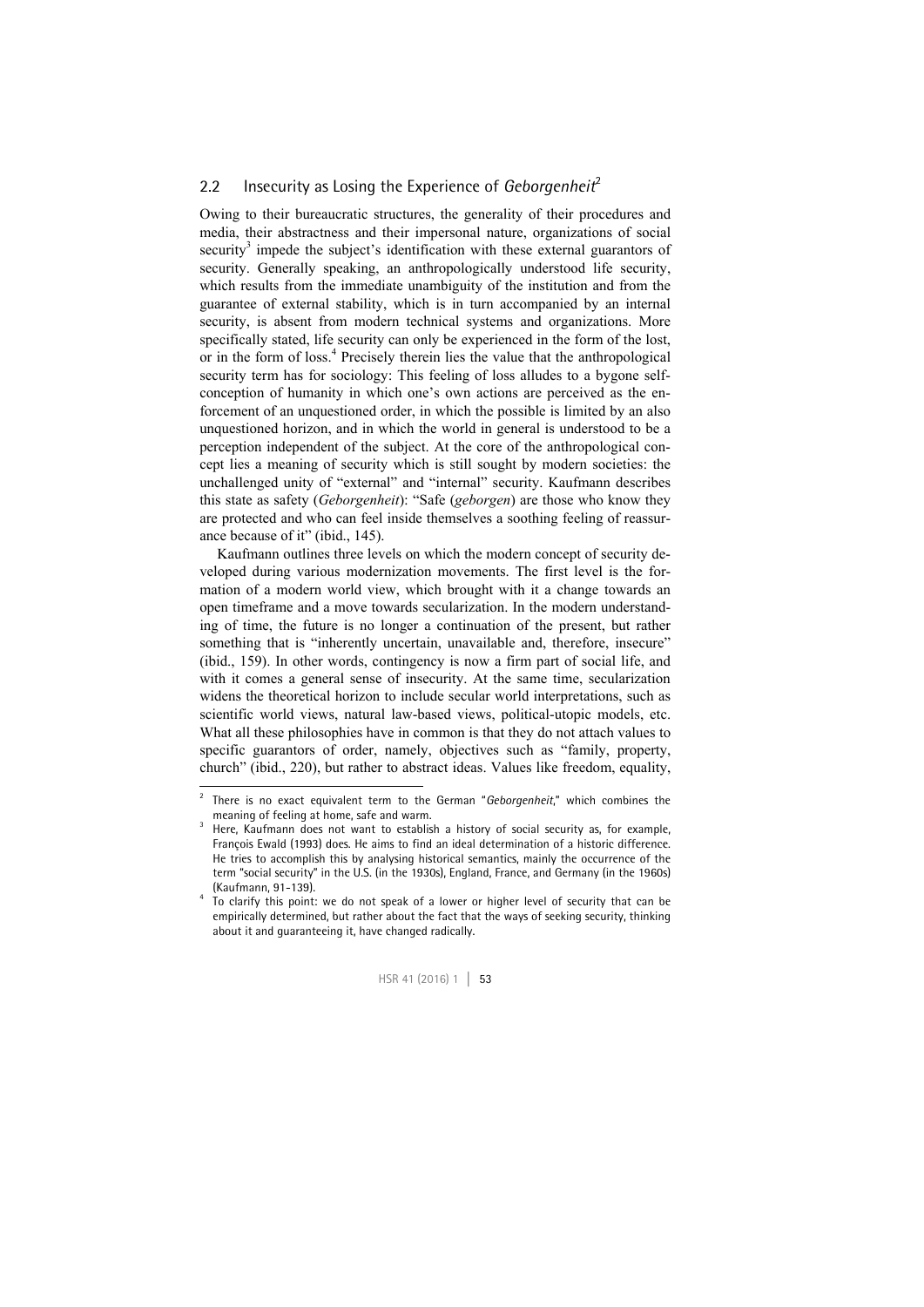#### 2.2 Insecurity as Losing the Experience of *Geborgenheit<sup>2</sup>*

Owing to their bureaucratic structures, the generality of their procedures and media, their abstractness and their impersonal nature, organizations of social security<sup>3</sup> impede the subject's identification with these external guarantors of security. Generally speaking, an anthropologically understood life security, which results from the immediate unambiguity of the institution and from the guarantee of external stability, which is in turn accompanied by an internal security, is absent from modern technical systems and organizations. More specifically stated, life security can only be experienced in the form of the lost, or in the form of loss.<sup>4</sup> Precisely therein lies the value that the anthropological security term has for sociology: This feeling of loss alludes to a bygone selfconception of humanity in which one's own actions are perceived as the enforcement of an unquestioned order, in which the possible is limited by an also unquestioned horizon, and in which the world in general is understood to be a perception independent of the subject. At the core of the anthropological concept lies a meaning of security which is still sought by modern societies: the unchallenged unity of "external" and "internal" security. Kaufmann describes this state as safety (*Geborgenheit*): "Safe (*geborgen*) are those who know they are protected and who can feel inside themselves a soothing feeling of reassurance because of it" (ibid., 145).

Kaufmann outlines three levels on which the modern concept of security developed during various modernization movements. The first level is the formation of a modern world view, which brought with it a change towards an open timeframe and a move towards secularization. In the modern understanding of time, the future is no longer a continuation of the present, but rather something that is "inherently uncertain, unavailable and, therefore, insecure" (ibid., 159). In other words, contingency is now a firm part of social life, and with it comes a general sense of insecurity. At the same time, secularization widens the theoretical horizon to include secular world interpretations, such as scientific world views, natural law-based views, political-utopic models, etc. What all these philosophies have in common is that they do not attach values to specific guarantors of order, namely, objectives such as "family, property, church" (ibid., 220), but rather to abstract ideas. Values like freedom, equality,

-

To clarify this point: we do not speak of a lower or higher level of security that can be empirically determined, but rather about the fact that the ways of seeking security, thinking about it and guaranteeing it, have changed radically.



<sup>2</sup> There is no exact equivalent term to the German "*Geborgenheit*," which combines the meaning of feeling at home, safe and warm.

Here, Kaufmann does not want to establish a history of social security as, for example, François Ewald (1993) does. He aims to find an ideal determination of a historic difference. He tries to accomplish this by analysing historical semantics, mainly the occurrence of the term "social security" in the U.S. (in the 1930s), England, France, and Germany (in the 1960s) (Kaufmann, 91-139).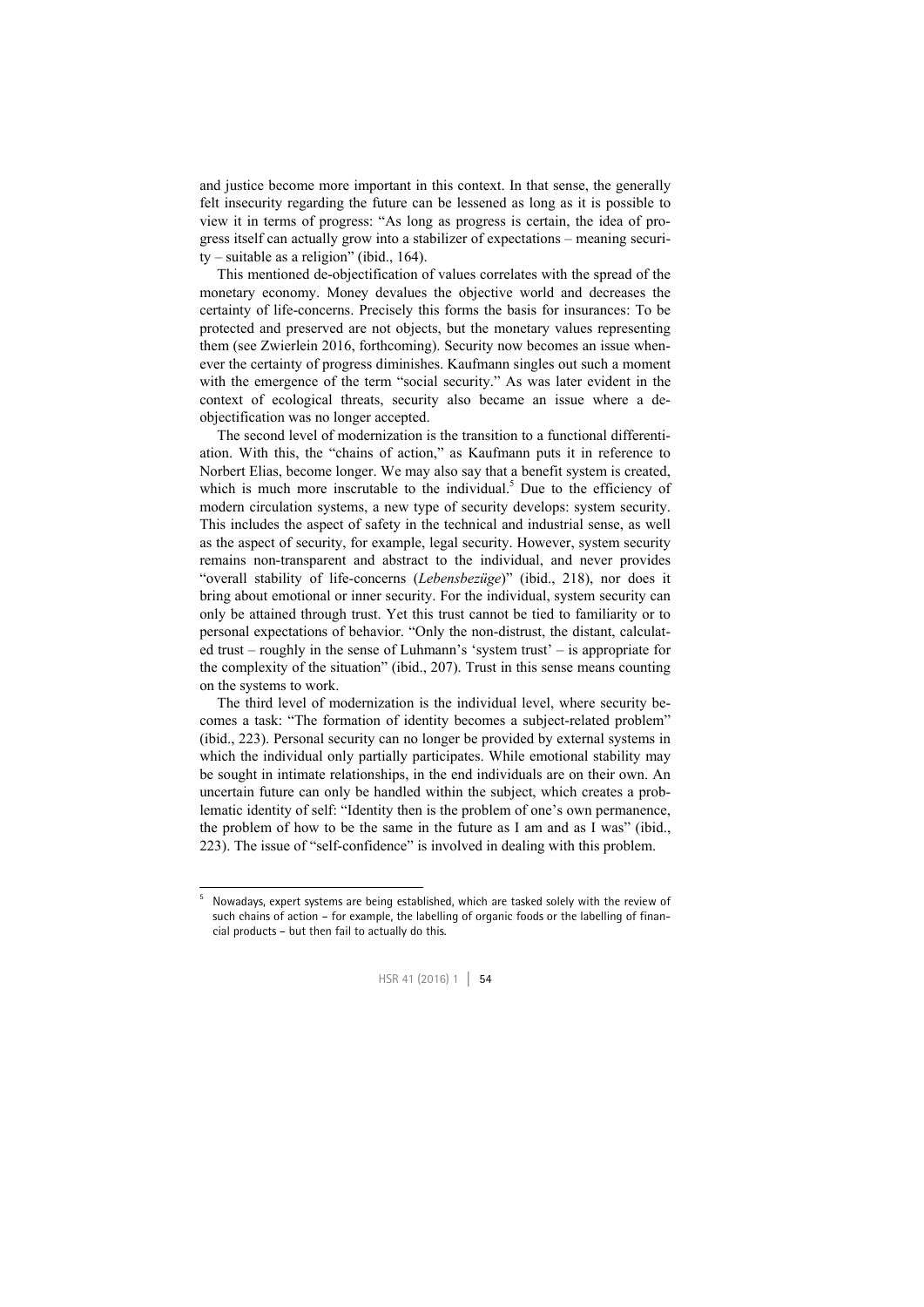and justice become more important in this context. In that sense, the generally felt insecurity regarding the future can be lessened as long as it is possible to view it in terms of progress: "As long as progress is certain, the idea of progress itself can actually grow into a stabilizer of expectations – meaning security – suitable as a religion" (ibid., 164).

This mentioned de-objectification of values correlates with the spread of the monetary economy. Money devalues the objective world and decreases the certainty of life-concerns. Precisely this forms the basis for insurances: To be protected and preserved are not objects, but the monetary values representing them (see Zwierlein 2016, forthcoming). Security now becomes an issue whenever the certainty of progress diminishes. Kaufmann singles out such a moment with the emergence of the term "social security." As was later evident in the context of ecological threats, security also became an issue where a deobjectification was no longer accepted.

The second level of modernization is the transition to a functional differentiation. With this, the "chains of action," as Kaufmann puts it in reference to Norbert Elias, become longer. We may also say that a benefit system is created, which is much more inscrutable to the individual.<sup>5</sup> Due to the efficiency of modern circulation systems, a new type of security develops: system security. This includes the aspect of safety in the technical and industrial sense, as well as the aspect of security, for example, legal security. However, system security remains non-transparent and abstract to the individual, and never provides "overall stability of life-concerns (*Lebensbezüge*)" (ibid., 218), nor does it bring about emotional or inner security. For the individual, system security can only be attained through trust. Yet this trust cannot be tied to familiarity or to personal expectations of behavior. "Only the non-distrust, the distant, calculated trust – roughly in the sense of Luhmann's 'system trust' – is appropriate for the complexity of the situation" (ibid., 207). Trust in this sense means counting on the systems to work.

The third level of modernization is the individual level, where security becomes a task: "The formation of identity becomes a subject-related problem" (ibid., 223). Personal security can no longer be provided by external systems in which the individual only partially participates. While emotional stability may be sought in intimate relationships, in the end individuals are on their own. An uncertain future can only be handled within the subject, which creates a problematic identity of self: "Identity then is the problem of one's own permanence, the problem of how to be the same in the future as I am and as I was" (ibid., 223). The issue of "self-confidence" is involved in dealing with this problem.

1



<sup>5</sup> Nowadays, expert systems are being established, which are tasked solely with the review of such chains of action – for example, the labelling of organic foods or the labelling of financial products – but then fail to actually do this.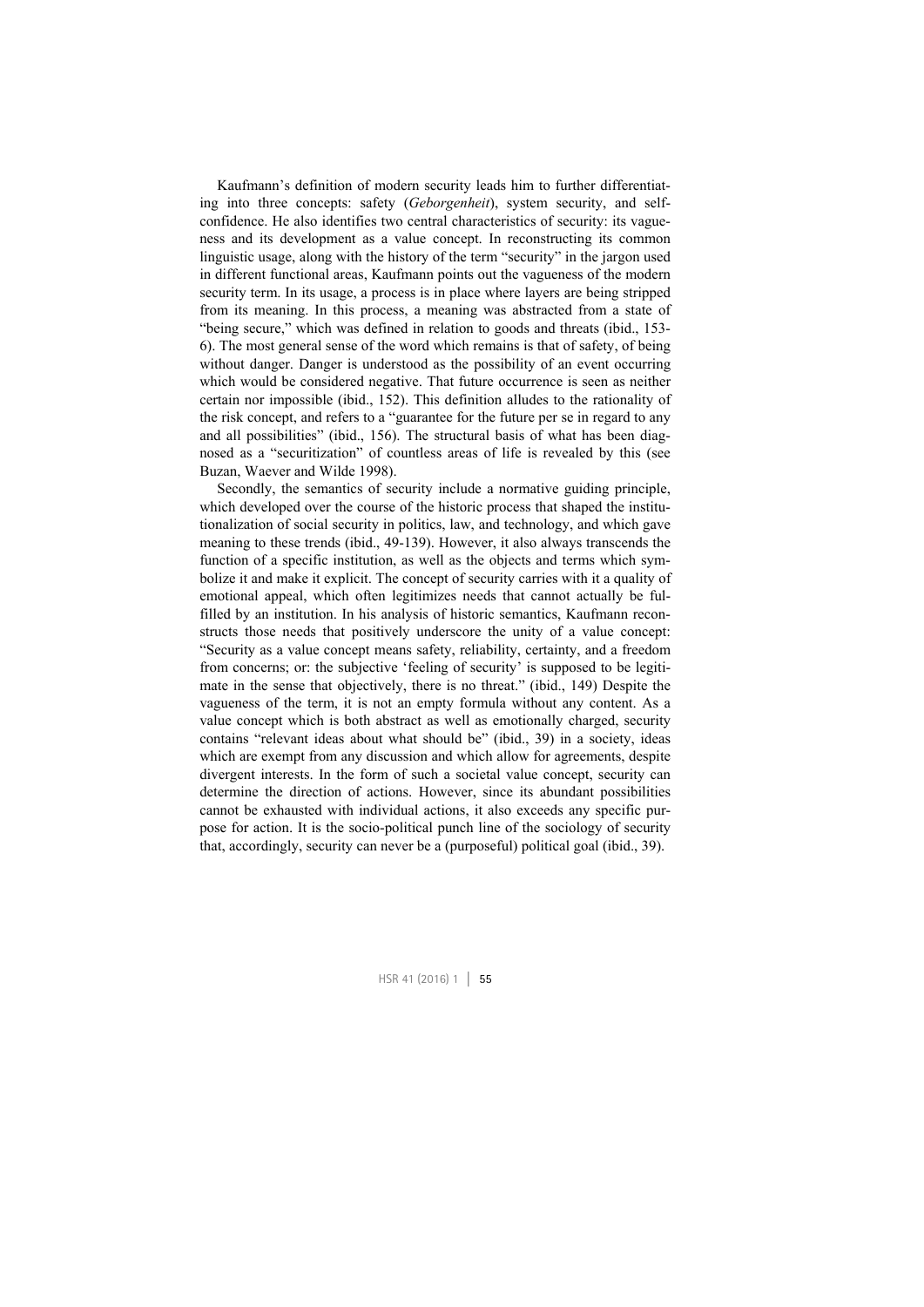Kaufmann's definition of modern security leads him to further differentiating into three concepts: safety (*Geborgenheit*), system security, and selfconfidence. He also identifies two central characteristics of security: its vagueness and its development as a value concept. In reconstructing its common linguistic usage, along with the history of the term "security" in the jargon used in different functional areas, Kaufmann points out the vagueness of the modern security term. In its usage, a process is in place where layers are being stripped from its meaning. In this process, a meaning was abstracted from a state of "being secure," which was defined in relation to goods and threats (ibid., 153- 6). The most general sense of the word which remains is that of safety, of being without danger. Danger is understood as the possibility of an event occurring which would be considered negative. That future occurrence is seen as neither certain nor impossible (ibid., 152). This definition alludes to the rationality of the risk concept, and refers to a "guarantee for the future per se in regard to any and all possibilities" (ibid., 156). The structural basis of what has been diagnosed as a "securitization" of countless areas of life is revealed by this (see Buzan, Waever and Wilde 1998).

Secondly, the semantics of security include a normative guiding principle, which developed over the course of the historic process that shaped the institutionalization of social security in politics, law, and technology, and which gave meaning to these trends (ibid., 49-139). However, it also always transcends the function of a specific institution, as well as the objects and terms which symbolize it and make it explicit. The concept of security carries with it a quality of emotional appeal, which often legitimizes needs that cannot actually be fulfilled by an institution. In his analysis of historic semantics, Kaufmann reconstructs those needs that positively underscore the unity of a value concept: "Security as a value concept means safety, reliability, certainty, and a freedom from concerns; or: the subjective 'feeling of security' is supposed to be legitimate in the sense that objectively, there is no threat." (ibid., 149) Despite the vagueness of the term, it is not an empty formula without any content. As a value concept which is both abstract as well as emotionally charged, security contains "relevant ideas about what should be" (ibid., 39) in a society, ideas which are exempt from any discussion and which allow for agreements, despite divergent interests. In the form of such a societal value concept, security can determine the direction of actions. However, since its abundant possibilities cannot be exhausted with individual actions, it also exceeds any specific purpose for action. It is the socio-political punch line of the sociology of security that, accordingly, security can never be a (purposeful) political goal (ibid., 39).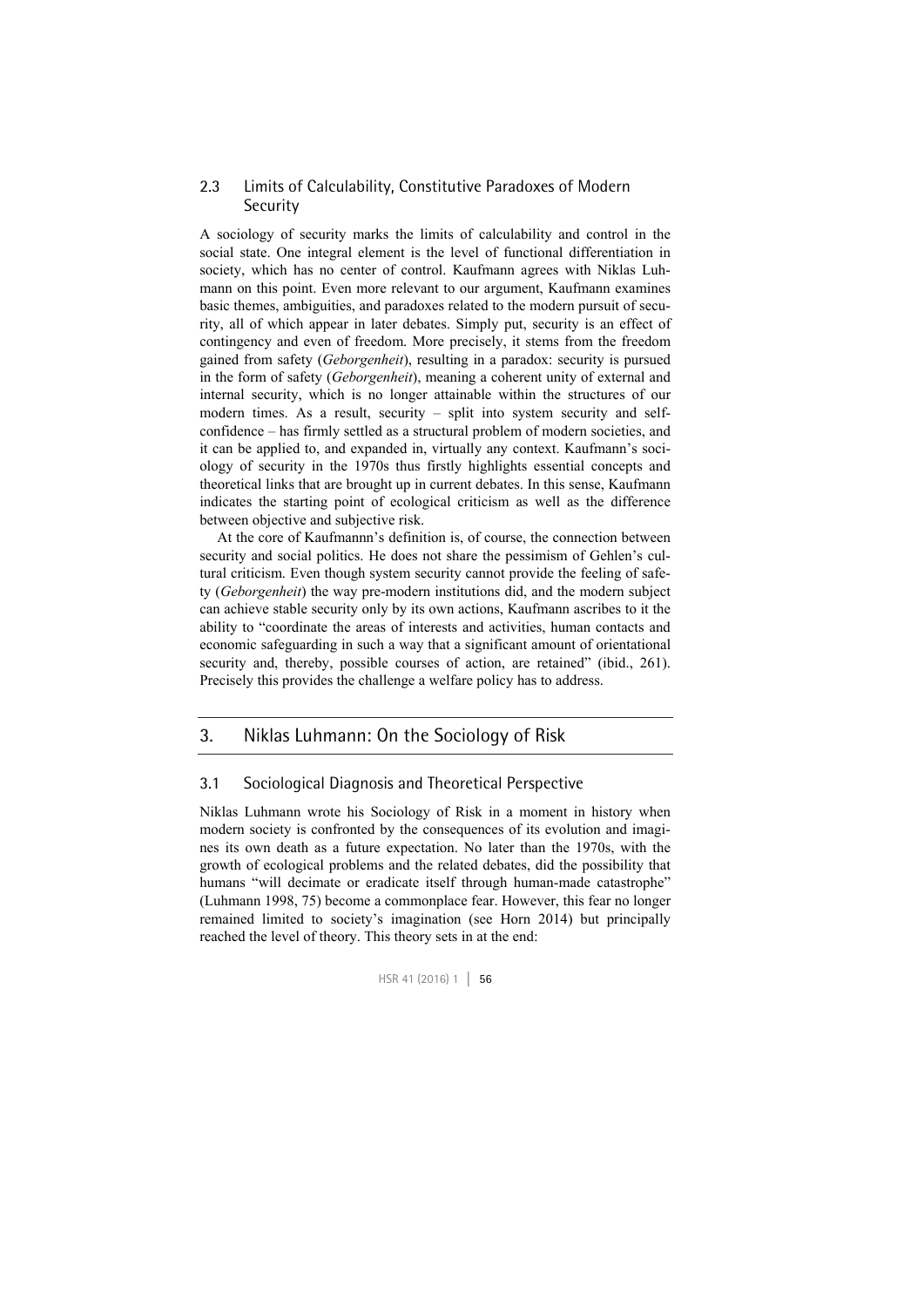#### 2.3 Limits of Calculability, Constitutive Paradoxes of Modern Security

A sociology of security marks the limits of calculability and control in the social state. One integral element is the level of functional differentiation in society, which has no center of control. Kaufmann agrees with Niklas Luhmann on this point. Even more relevant to our argument, Kaufmann examines basic themes, ambiguities, and paradoxes related to the modern pursuit of security, all of which appear in later debates. Simply put, security is an effect of contingency and even of freedom. More precisely, it stems from the freedom gained from safety (*Geborgenheit*), resulting in a paradox: security is pursued in the form of safety (*Geborgenheit*), meaning a coherent unity of external and internal security, which is no longer attainable within the structures of our modern times. As a result, security – split into system security and selfconfidence – has firmly settled as a structural problem of modern societies, and it can be applied to, and expanded in, virtually any context. Kaufmann's sociology of security in the 1970s thus firstly highlights essential concepts and theoretical links that are brought up in current debates. In this sense, Kaufmann indicates the starting point of ecological criticism as well as the difference between objective and subjective risk.

At the core of Kaufmannn's definition is, of course, the connection between security and social politics. He does not share the pessimism of Gehlen's cultural criticism. Even though system security cannot provide the feeling of safety (*Geborgenheit*) the way pre-modern institutions did, and the modern subject can achieve stable security only by its own actions, Kaufmann ascribes to it the ability to "coordinate the areas of interests and activities, human contacts and economic safeguarding in such a way that a significant amount of orientational security and, thereby, possible courses of action, are retained" (ibid., 261). Precisely this provides the challenge a welfare policy has to address.

#### 3. Niklas Luhmann: On the Sociology of Risk

#### 3.1 Sociological Diagnosis and Theoretical Perspective

Niklas Luhmann wrote his Sociology of Risk in a moment in history when modern society is confronted by the consequences of its evolution and imagines its own death as a future expectation. No later than the 1970s, with the growth of ecological problems and the related debates, did the possibility that humans "will decimate or eradicate itself through human-made catastrophe" (Luhmann 1998, 75) become a commonplace fear. However, this fear no longer remained limited to society's imagination (see Horn 2014) but principally reached the level of theory. This theory sets in at the end: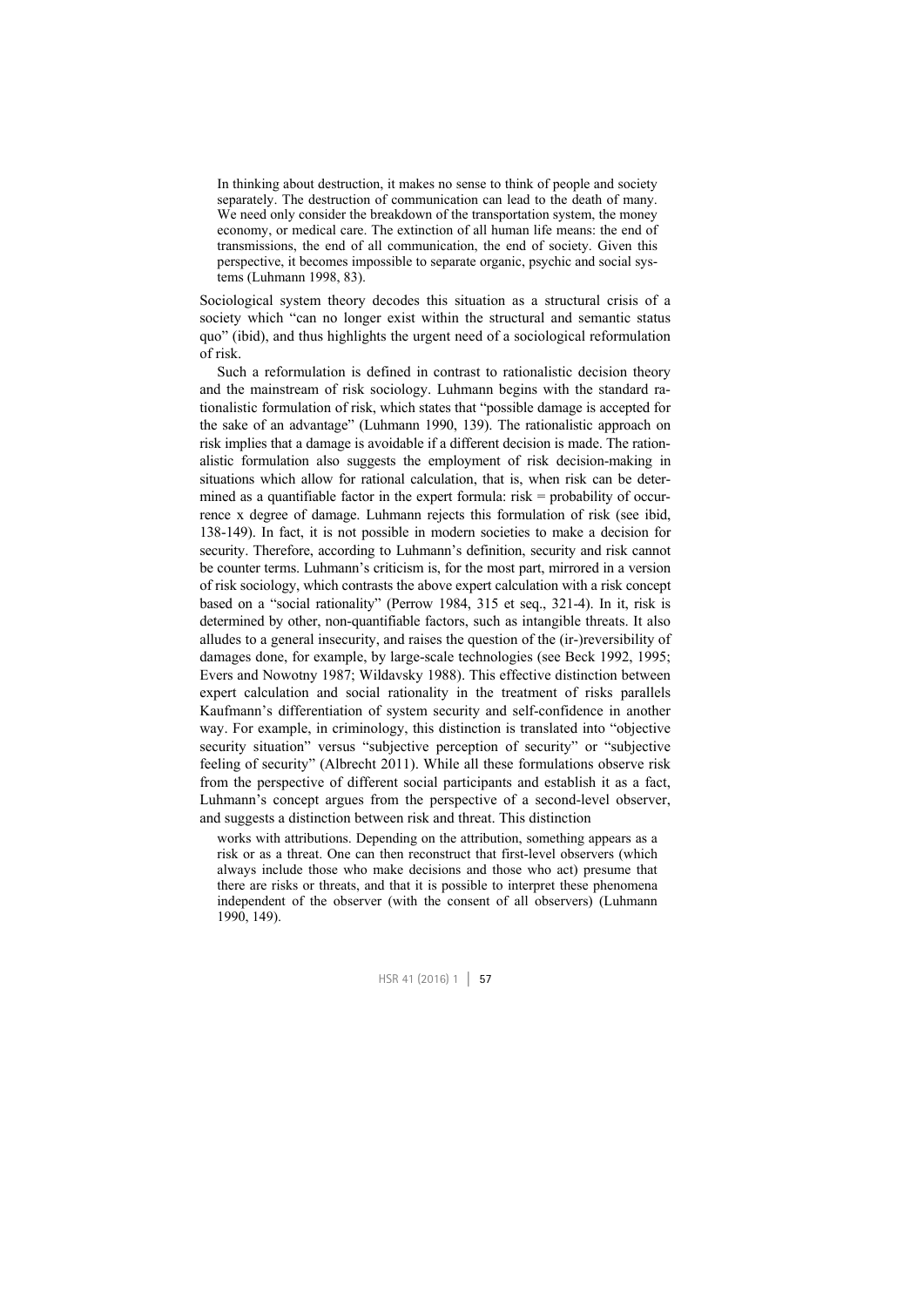In thinking about destruction, it makes no sense to think of people and society separately. The destruction of communication can lead to the death of many. We need only consider the breakdown of the transportation system, the money economy, or medical care. The extinction of all human life means: the end of transmissions, the end of all communication, the end of society. Given this perspective, it becomes impossible to separate organic, psychic and social systems (Luhmann 1998, 83).

Sociological system theory decodes this situation as a structural crisis of a society which "can no longer exist within the structural and semantic status quo" (ibid), and thus highlights the urgent need of a sociological reformulation of risk.

Such a reformulation is defined in contrast to rationalistic decision theory and the mainstream of risk sociology. Luhmann begins with the standard rationalistic formulation of risk, which states that "possible damage is accepted for the sake of an advantage" (Luhmann 1990, 139). The rationalistic approach on risk implies that a damage is avoidable if a different decision is made. The rationalistic formulation also suggests the employment of risk decision-making in situations which allow for rational calculation, that is, when risk can be determined as a quantifiable factor in the expert formula: risk = probability of occurrence x degree of damage. Luhmann rejects this formulation of risk (see ibid, 138-149). In fact, it is not possible in modern societies to make a decision for security. Therefore, according to Luhmann's definition, security and risk cannot be counter terms. Luhmann's criticism is, for the most part, mirrored in a version of risk sociology, which contrasts the above expert calculation with a risk concept based on a "social rationality" (Perrow 1984, 315 et seq., 321-4). In it, risk is determined by other, non-quantifiable factors, such as intangible threats. It also alludes to a general insecurity, and raises the question of the (ir-)reversibility of damages done, for example, by large-scale technologies (see Beck 1992, 1995; Evers and Nowotny 1987; Wildavsky 1988). This effective distinction between expert calculation and social rationality in the treatment of risks parallels Kaufmann's differentiation of system security and self-confidence in another way. For example, in criminology, this distinction is translated into "objective security situation" versus "subjective perception of security" or "subjective feeling of security" (Albrecht 2011). While all these formulations observe risk from the perspective of different social participants and establish it as a fact, Luhmann's concept argues from the perspective of a second-level observer, and suggests a distinction between risk and threat. This distinction

works with attributions. Depending on the attribution, something appears as a risk or as a threat. One can then reconstruct that first-level observers (which always include those who make decisions and those who act) presume that there are risks or threats, and that it is possible to interpret these phenomena independent of the observer (with the consent of all observers) (Luhmann 1990, 149).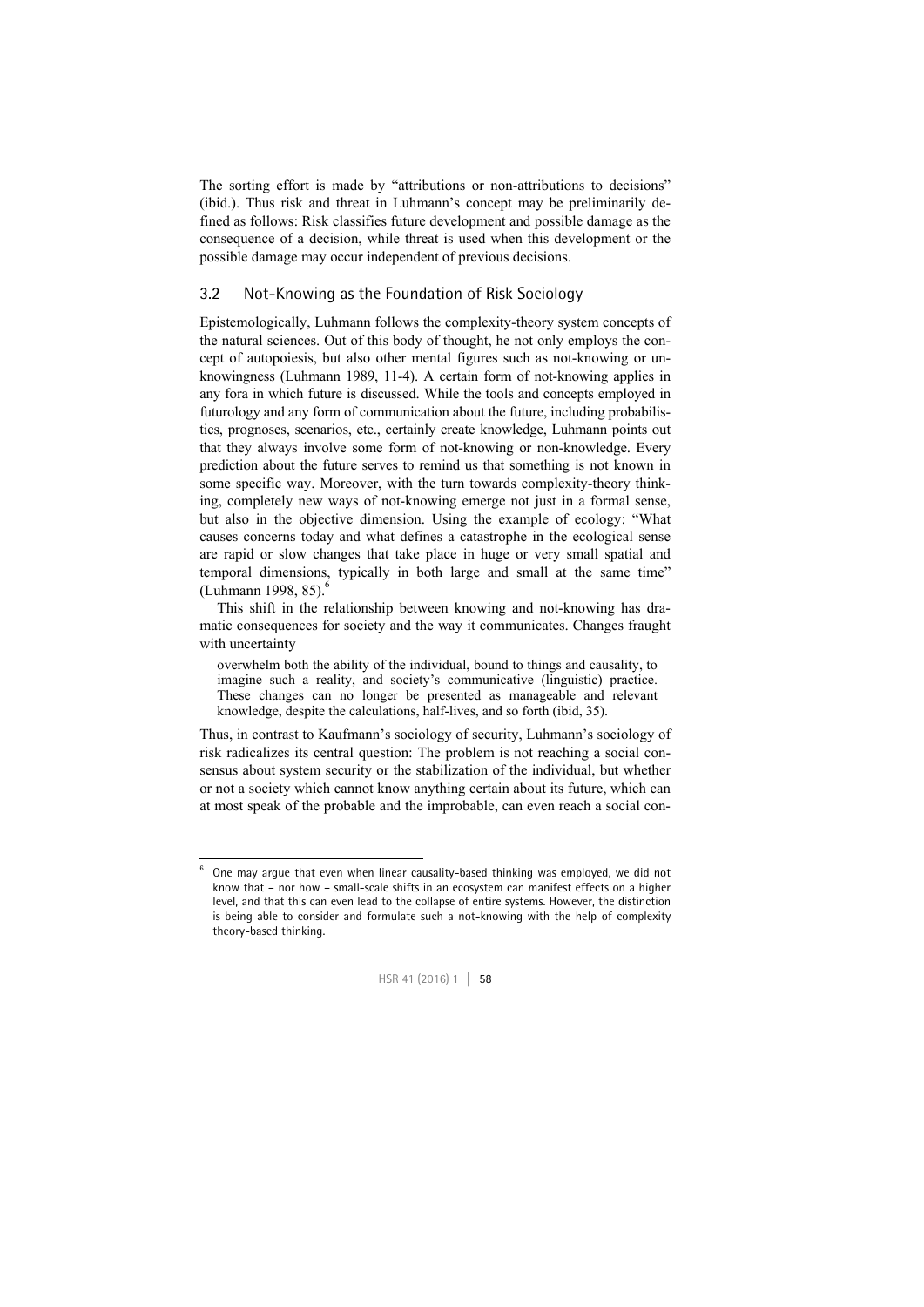The sorting effort is made by "attributions or non-attributions to decisions" (ibid.). Thus risk and threat in Luhmann's concept may be preliminarily defined as follows: Risk classifies future development and possible damage as the consequence of a decision, while threat is used when this development or the possible damage may occur independent of previous decisions.

#### 3.2 Not-Knowing as the Foundation of Risk Sociology

Epistemologically, Luhmann follows the complexity-theory system concepts of the natural sciences. Out of this body of thought, he not only employs the concept of autopoiesis, but also other mental figures such as not-knowing or unknowingness (Luhmann 1989, 11-4). A certain form of not-knowing applies in any fora in which future is discussed. While the tools and concepts employed in futurology and any form of communication about the future, including probabilistics, prognoses, scenarios, etc., certainly create knowledge, Luhmann points out that they always involve some form of not-knowing or non-knowledge. Every prediction about the future serves to remind us that something is not known in some specific way. Moreover, with the turn towards complexity-theory thinking, completely new ways of not-knowing emerge not just in a formal sense, but also in the objective dimension. Using the example of ecology: "What causes concerns today and what defines a catastrophe in the ecological sense are rapid or slow changes that take place in huge or very small spatial and temporal dimensions, typically in both large and small at the same time"  $(Luhmann 1998, 85)$ .

This shift in the relationship between knowing and not-knowing has dramatic consequences for society and the way it communicates. Changes fraught with uncertainty

overwhelm both the ability of the individual, bound to things and causality, to imagine such a reality, and society's communicative (linguistic) practice. These changes can no longer be presented as manageable and relevant knowledge, despite the calculations, half-lives, and so forth (ibid, 35).

Thus, in contrast to Kaufmann's sociology of security, Luhmann's sociology of risk radicalizes its central question: The problem is not reaching a social consensus about system security or the stabilization of the individual, but whether or not a society which cannot know anything certain about its future, which can at most speak of the probable and the improbable, can even reach a social con-

-6



One may argue that even when linear causality-based thinking was employed, we did not know that – nor how – small-scale shifts in an ecosystem can manifest effects on a higher level, and that this can even lead to the collapse of entire systems. However, the distinction is being able to consider and formulate such a not-knowing with the help of complexity theory-based thinking.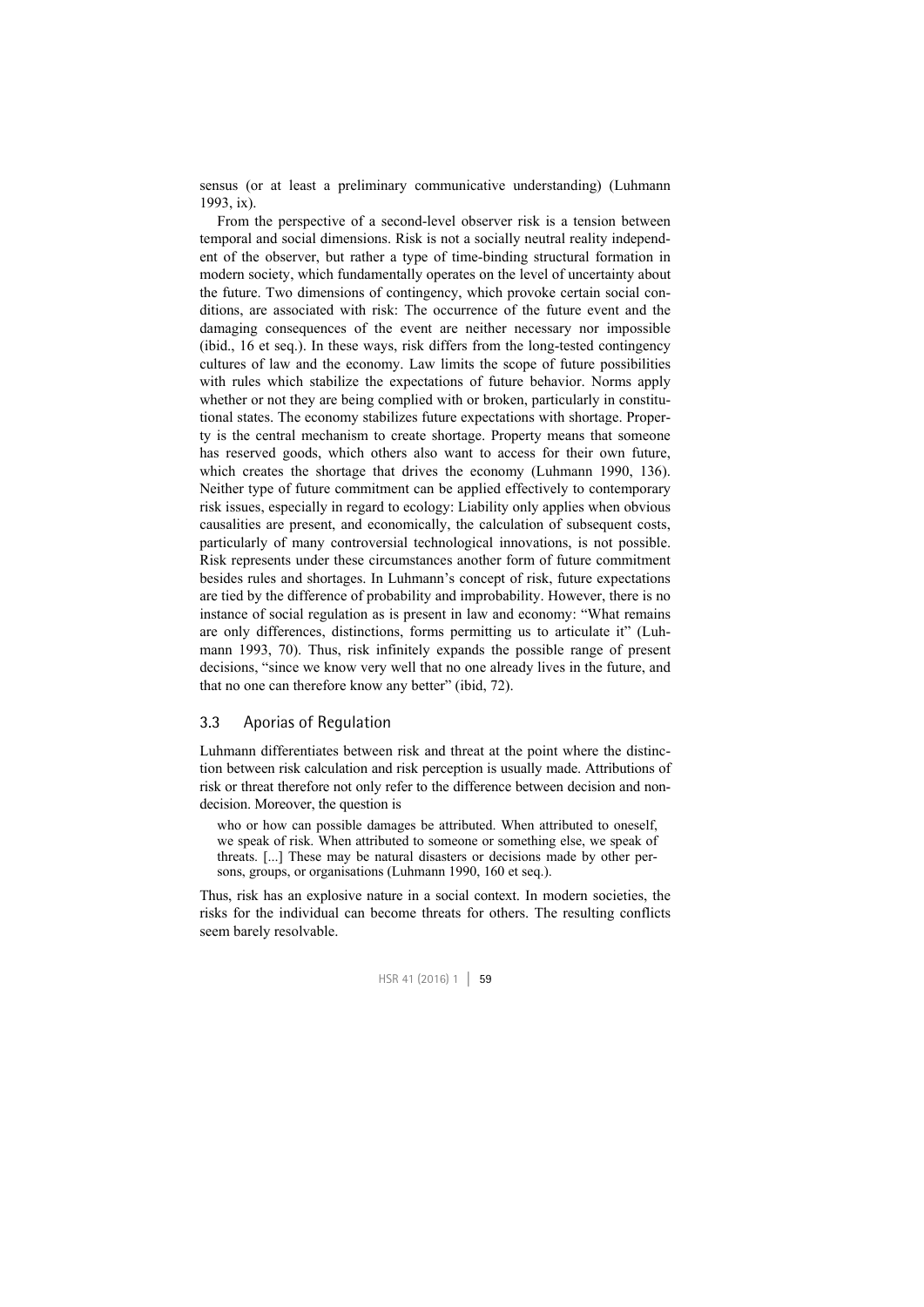sensus (or at least a preliminary communicative understanding) (Luhmann 1993, ix).

From the perspective of a second-level observer risk is a tension between temporal and social dimensions. Risk is not a socially neutral reality independent of the observer, but rather a type of time-binding structural formation in modern society, which fundamentally operates on the level of uncertainty about the future. Two dimensions of contingency, which provoke certain social conditions, are associated with risk: The occurrence of the future event and the damaging consequences of the event are neither necessary nor impossible (ibid., 16 et seq.). In these ways, risk differs from the long-tested contingency cultures of law and the economy. Law limits the scope of future possibilities with rules which stabilize the expectations of future behavior. Norms apply whether or not they are being complied with or broken, particularly in constitutional states. The economy stabilizes future expectations with shortage. Property is the central mechanism to create shortage. Property means that someone has reserved goods, which others also want to access for their own future, which creates the shortage that drives the economy (Luhmann 1990, 136). Neither type of future commitment can be applied effectively to contemporary risk issues, especially in regard to ecology: Liability only applies when obvious causalities are present, and economically, the calculation of subsequent costs, particularly of many controversial technological innovations, is not possible. Risk represents under these circumstances another form of future commitment besides rules and shortages. In Luhmann's concept of risk, future expectations are tied by the difference of probability and improbability. However, there is no instance of social regulation as is present in law and economy: "What remains are only differences, distinctions, forms permitting us to articulate it" (Luhmann 1993, 70). Thus, risk infinitely expands the possible range of present decisions, "since we know very well that no one already lives in the future, and that no one can therefore know any better" (ibid, 72).

#### 3.3 Aporias of Regulation

Luhmann differentiates between risk and threat at the point where the distinction between risk calculation and risk perception is usually made. Attributions of risk or threat therefore not only refer to the difference between decision and nondecision. Moreover, the question is

who or how can possible damages be attributed. When attributed to oneself, we speak of risk. When attributed to someone or something else, we speak of threats. [...] These may be natural disasters or decisions made by other persons, groups, or organisations (Luhmann 1990, 160 et seq.).

Thus, risk has an explosive nature in a social context. In modern societies, the risks for the individual can become threats for others. The resulting conflicts seem barely resolvable.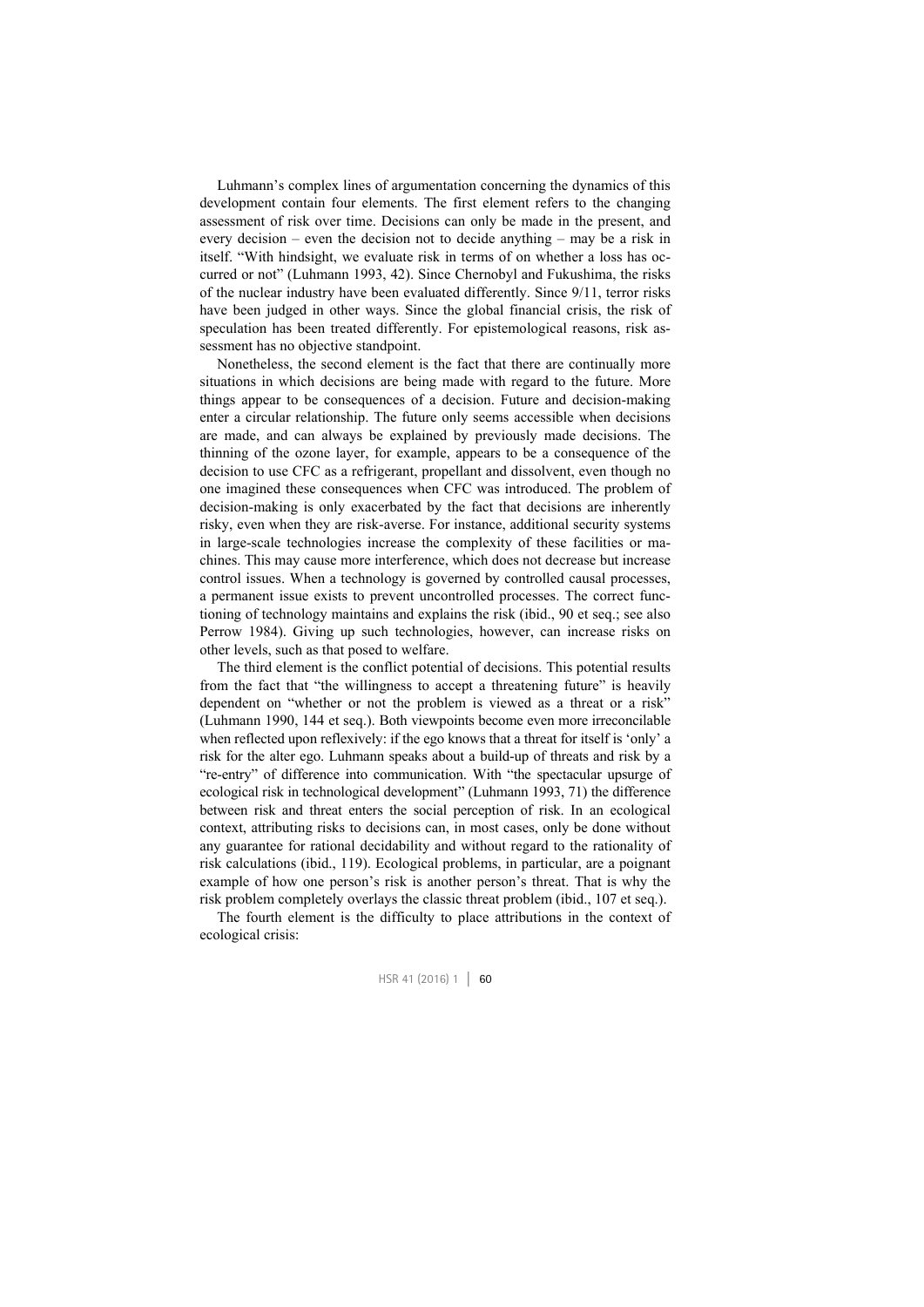Luhmann's complex lines of argumentation concerning the dynamics of this development contain four elements. The first element refers to the changing assessment of risk over time. Decisions can only be made in the present, and every decision – even the decision not to decide anything – may be a risk in itself. "With hindsight, we evaluate risk in terms of on whether a loss has occurred or not" (Luhmann 1993, 42). Since Chernobyl and Fukushima, the risks of the nuclear industry have been evaluated differently. Since 9/11, terror risks have been judged in other ways. Since the global financial crisis, the risk of speculation has been treated differently. For epistemological reasons, risk assessment has no objective standpoint.

Nonetheless, the second element is the fact that there are continually more situations in which decisions are being made with regard to the future. More things appear to be consequences of a decision. Future and decision-making enter a circular relationship. The future only seems accessible when decisions are made, and can always be explained by previously made decisions. The thinning of the ozone layer, for example, appears to be a consequence of the decision to use CFC as a refrigerant, propellant and dissolvent, even though no one imagined these consequences when CFC was introduced. The problem of decision-making is only exacerbated by the fact that decisions are inherently risky, even when they are risk-averse. For instance, additional security systems in large-scale technologies increase the complexity of these facilities or machines. This may cause more interference, which does not decrease but increase control issues. When a technology is governed by controlled causal processes, a permanent issue exists to prevent uncontrolled processes. The correct functioning of technology maintains and explains the risk (ibid., 90 et seq.; see also Perrow 1984). Giving up such technologies, however, can increase risks on other levels, such as that posed to welfare.

The third element is the conflict potential of decisions. This potential results from the fact that "the willingness to accept a threatening future" is heavily dependent on "whether or not the problem is viewed as a threat or a risk" (Luhmann 1990, 144 et seq.). Both viewpoints become even more irreconcilable when reflected upon reflexively: if the ego knows that a threat for itself is 'only' a risk for the alter ego. Luhmann speaks about a build-up of threats and risk by a "re-entry" of difference into communication. With "the spectacular upsurge of ecological risk in technological development" (Luhmann 1993, 71) the difference between risk and threat enters the social perception of risk. In an ecological context, attributing risks to decisions can, in most cases, only be done without any guarantee for rational decidability and without regard to the rationality of risk calculations (ibid., 119). Ecological problems, in particular, are a poignant example of how one person's risk is another person's threat. That is why the risk problem completely overlays the classic threat problem (ibid., 107 et seq.).

The fourth element is the difficulty to place attributions in the context of ecological crisis: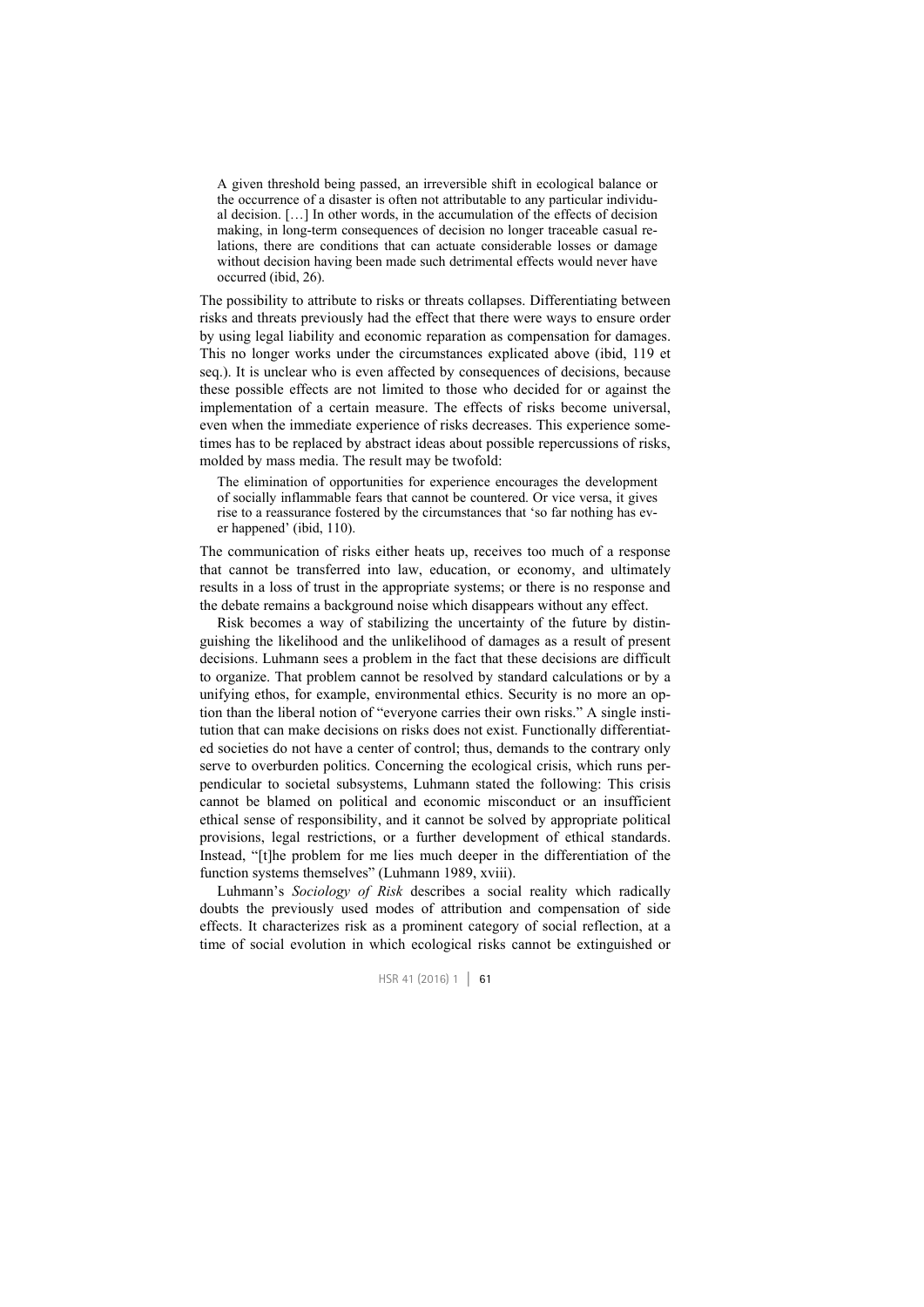A given threshold being passed, an irreversible shift in ecological balance or the occurrence of a disaster is often not attributable to any particular individual decision. […] In other words, in the accumulation of the effects of decision making, in long-term consequences of decision no longer traceable casual relations, there are conditions that can actuate considerable losses or damage without decision having been made such detrimental effects would never have occurred (ibid, 26).

The possibility to attribute to risks or threats collapses. Differentiating between risks and threats previously had the effect that there were ways to ensure order by using legal liability and economic reparation as compensation for damages. This no longer works under the circumstances explicated above (ibid, 119 et seq.). It is unclear who is even affected by consequences of decisions, because these possible effects are not limited to those who decided for or against the implementation of a certain measure. The effects of risks become universal, even when the immediate experience of risks decreases. This experience sometimes has to be replaced by abstract ideas about possible repercussions of risks, molded by mass media. The result may be twofold:

The elimination of opportunities for experience encourages the development of socially inflammable fears that cannot be countered. Or vice versa, it gives rise to a reassurance fostered by the circumstances that 'so far nothing has ever happened' (ibid, 110).

The communication of risks either heats up, receives too much of a response that cannot be transferred into law, education, or economy, and ultimately results in a loss of trust in the appropriate systems; or there is no response and the debate remains a background noise which disappears without any effect.

Risk becomes a way of stabilizing the uncertainty of the future by distinguishing the likelihood and the unlikelihood of damages as a result of present decisions. Luhmann sees a problem in the fact that these decisions are difficult to organize. That problem cannot be resolved by standard calculations or by a unifying ethos, for example, environmental ethics. Security is no more an option than the liberal notion of "everyone carries their own risks." A single institution that can make decisions on risks does not exist. Functionally differentiated societies do not have a center of control; thus, demands to the contrary only serve to overburden politics. Concerning the ecological crisis, which runs perpendicular to societal subsystems, Luhmann stated the following: This crisis cannot be blamed on political and economic misconduct or an insufficient ethical sense of responsibility, and it cannot be solved by appropriate political provisions, legal restrictions, or a further development of ethical standards. Instead, "[t]he problem for me lies much deeper in the differentiation of the function systems themselves" (Luhmann 1989, xviii).

Luhmann's *Sociology of Risk* describes a social reality which radically doubts the previously used modes of attribution and compensation of side effects. It characterizes risk as a prominent category of social reflection, at a time of social evolution in which ecological risks cannot be extinguished or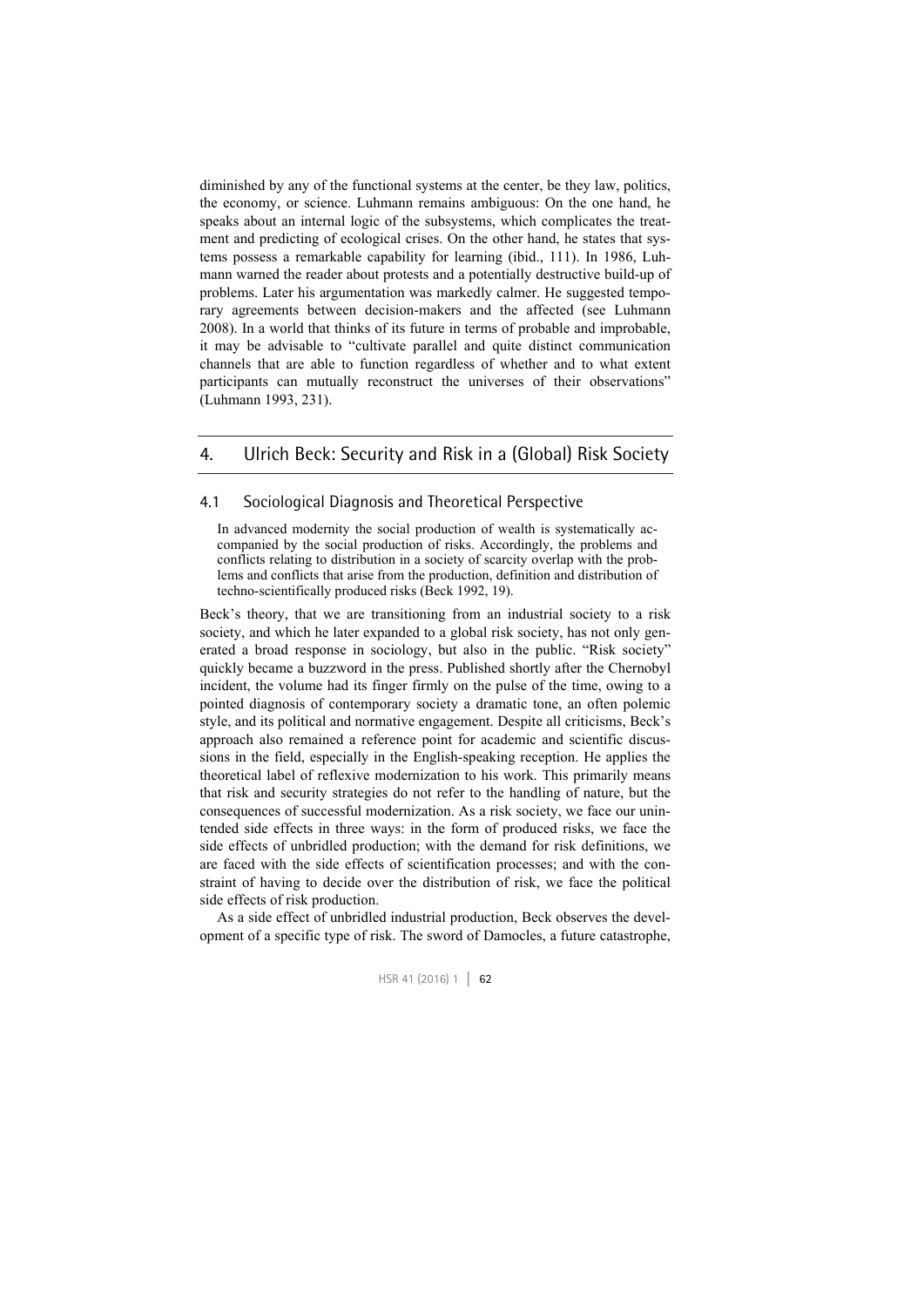diminished by any of the functional systems at the center, be they law, politics, the economy, or science. Luhmann remains ambiguous: On the one hand, he speaks about an internal logic of the subsystems, which complicates the treatment and predicting of ecological crises. On the other hand, he states that systems possess a remarkable capability for learning (ibid., 111). In 1986, Luhmann warned the reader about protests and a potentially destructive build-up of problems. Later his argumentation was markedly calmer. He suggested temporary agreements between decision-makers and the affected (see Luhmann 2008). In a world that thinks of its future in terms of probable and improbable, it may be advisable to "cultivate parallel and quite distinct communication channels that are able to function regardless of whether and to what extent participants can mutually reconstruct the universes of their observations" (Luhmann 1993, 231).

#### 4. Ulrich Beck: Security and Risk in a (Global) Risk Society

#### 4.1 Sociological Diagnosis and Theoretical Perspective

In advanced modernity the social production of wealth is systematically accompanied by the social production of risks. Accordingly, the problems and conflicts relating to distribution in a society of scarcity overlap with the problems and conflicts that arise from the production, definition and distribution of techno-scientifically produced risks (Beck 1992, 19).

Beck's theory, that we are transitioning from an industrial society to a risk society, and which he later expanded to a global risk society, has not only generated a broad response in sociology, but also in the public. "Risk society" quickly became a buzzword in the press. Published shortly after the Chernobyl incident, the volume had its finger firmly on the pulse of the time, owing to a pointed diagnosis of contemporary society a dramatic tone, an often polemic style, and its political and normative engagement. Despite all criticisms, Beck's approach also remained a reference point for academic and scientific discussions in the field, especially in the English-speaking reception. He applies the theoretical label of reflexive modernization to his work. This primarily means that risk and security strategies do not refer to the handling of nature, but the consequences of successful modernization. As a risk society, we face our unintended side effects in three ways: in the form of produced risks, we face the side effects of unbridled production; with the demand for risk definitions, we are faced with the side effects of scientification processes; and with the constraint of having to decide over the distribution of risk, we face the political side effects of risk production.

As a side effect of unbridled industrial production, Beck observes the development of a specific type of risk. The sword of Damocles, a future catastrophe,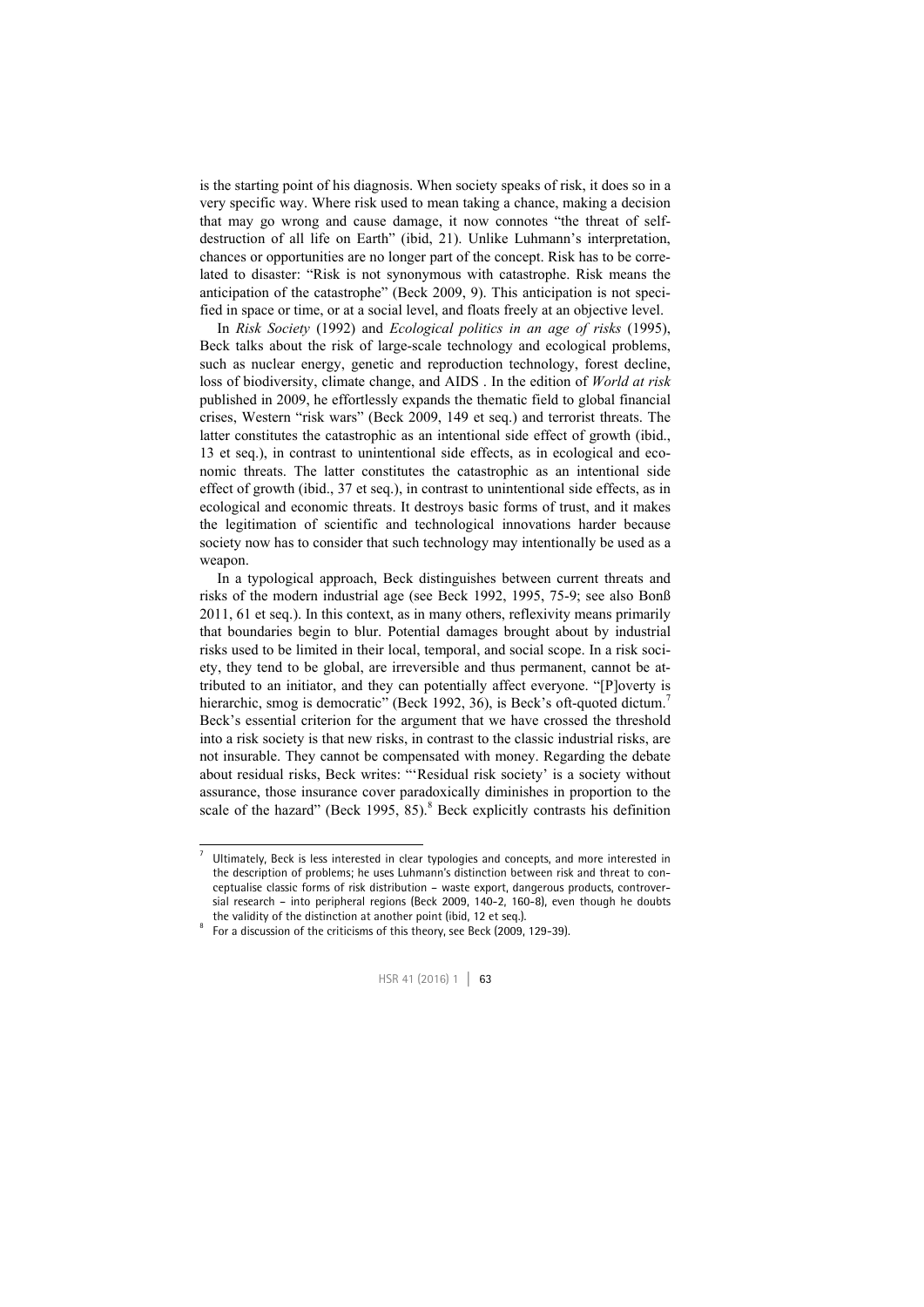is the starting point of his diagnosis. When society speaks of risk, it does so in a very specific way. Where risk used to mean taking a chance, making a decision that may go wrong and cause damage, it now connotes "the threat of selfdestruction of all life on Earth" (ibid, 21). Unlike Luhmann's interpretation, chances or opportunities are no longer part of the concept. Risk has to be correlated to disaster: "Risk is not synonymous with catastrophe. Risk means the anticipation of the catastrophe" (Beck 2009, 9). This anticipation is not specified in space or time, or at a social level, and floats freely at an objective level.

In *Risk Society* (1992) and *Ecological politics in an age of risks* (1995), Beck talks about the risk of large-scale technology and ecological problems, such as nuclear energy, genetic and reproduction technology, forest decline, loss of biodiversity, climate change, and AIDS . In the edition of *World at risk* published in 2009, he effortlessly expands the thematic field to global financial crises, Western "risk wars" (Beck 2009, 149 et seq.) and terrorist threats. The latter constitutes the catastrophic as an intentional side effect of growth (ibid., 13 et seq.), in contrast to unintentional side effects, as in ecological and economic threats. The latter constitutes the catastrophic as an intentional side effect of growth (ibid., 37 et seq.), in contrast to unintentional side effects, as in ecological and economic threats. It destroys basic forms of trust, and it makes the legitimation of scientific and technological innovations harder because society now has to consider that such technology may intentionally be used as a weapon.

In a typological approach, Beck distinguishes between current threats and risks of the modern industrial age (see Beck 1992, 1995, 75-9; see also Bonß 2011, 61 et seq.). In this context, as in many others, reflexivity means primarily that boundaries begin to blur. Potential damages brought about by industrial risks used to be limited in their local, temporal, and social scope. In a risk society, they tend to be global, are irreversible and thus permanent, cannot be attributed to an initiator, and they can potentially affect everyone. "[P]overty is hierarchic, smog is democratic" (Beck 1992, 36), is Beck's oft-quoted dictum.<sup>7</sup> Beck's essential criterion for the argument that we have crossed the threshold into a risk society is that new risks, in contrast to the classic industrial risks, are not insurable. They cannot be compensated with money. Regarding the debate about residual risks, Beck writes: "'Residual risk society' is a society without assurance, those insurance cover paradoxically diminishes in proportion to the scale of the hazard" (Beck 1995,  $85$ ).<sup>8</sup> Beck explicitly contrasts his definition

 $\frac{1}{7}$  Ultimately, Beck is less interested in clear typologies and concepts, and more interested in the description of problems; he uses Luhmann's distinction between risk and threat to conceptualise classic forms of risk distribution – waste export, dangerous products, controversial research – into peripheral regions (Beck 2009, 140-2, 160-8), even though he doubts the validity of the distinction at another point (ibid, 12 et seq.).

For a discussion of the criticisms of this theory, see Beck (2009, 129-39).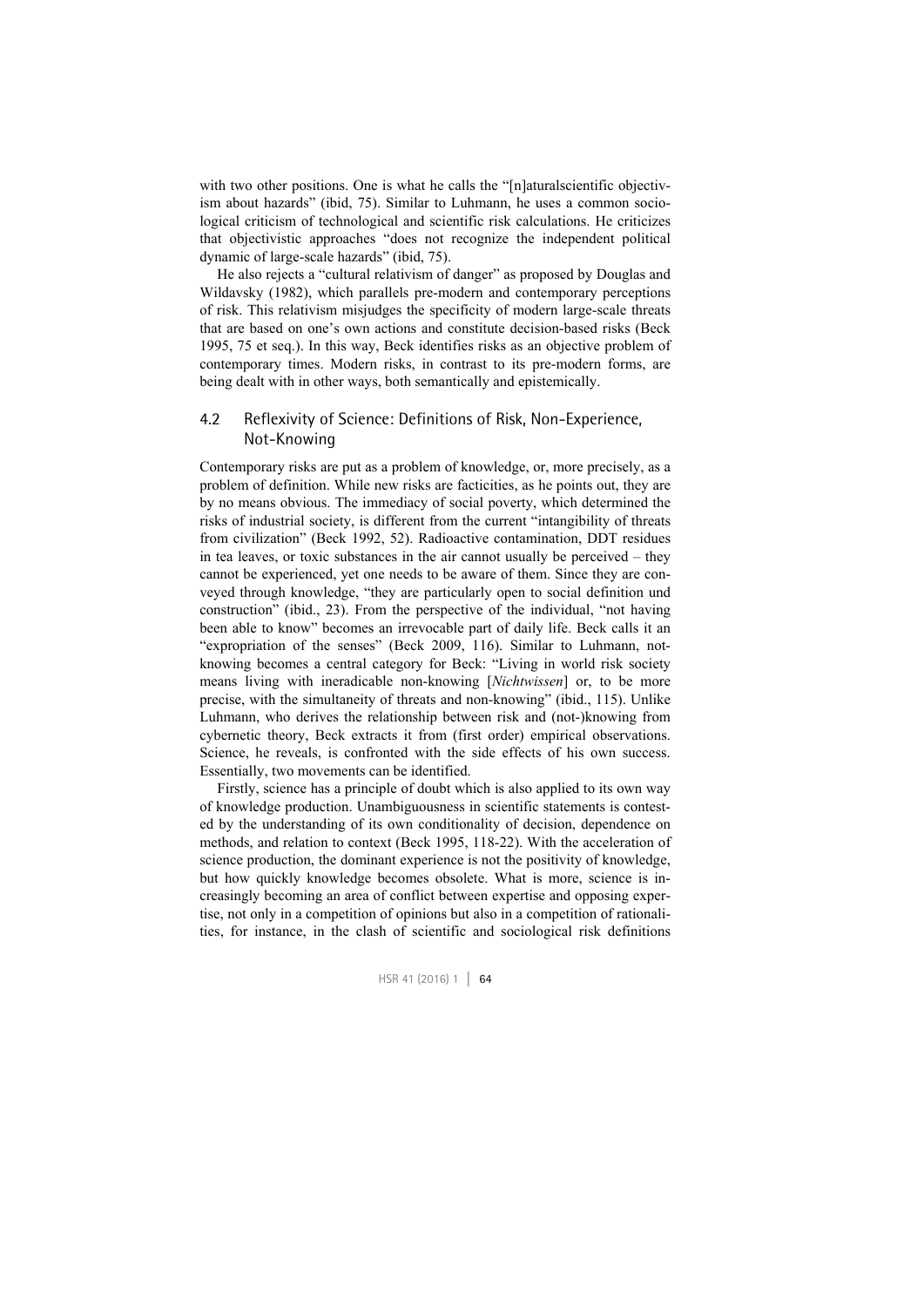with two other positions. One is what he calls the "[n]aturalscientific objectivism about hazards" (ibid, 75). Similar to Luhmann, he uses a common sociological criticism of technological and scientific risk calculations. He criticizes that objectivistic approaches "does not recognize the independent political dynamic of large-scale hazards" (ibid, 75).

He also rejects a "cultural relativism of danger" as proposed by Douglas and Wildavsky (1982), which parallels pre-modern and contemporary perceptions of risk. This relativism misjudges the specificity of modern large-scale threats that are based on one's own actions and constitute decision-based risks (Beck 1995, 75 et seq.). In this way, Beck identifies risks as an objective problem of contemporary times. Modern risks, in contrast to its pre-modern forms, are being dealt with in other ways, both semantically and epistemically.

#### 4.2 Reflexivity of Science: Definitions of Risk, Non-Experience, Not-Knowing

Contemporary risks are put as a problem of knowledge, or, more precisely, as a problem of definition. While new risks are facticities, as he points out, they are by no means obvious. The immediacy of social poverty, which determined the risks of industrial society, is different from the current "intangibility of threats from civilization" (Beck 1992, 52). Radioactive contamination, DDT residues in tea leaves, or toxic substances in the air cannot usually be perceived – they cannot be experienced, yet one needs to be aware of them. Since they are conveyed through knowledge, "they are particularly open to social definition und construction" (ibid., 23). From the perspective of the individual, "not having been able to know" becomes an irrevocable part of daily life. Beck calls it an "expropriation of the senses" (Beck 2009, 116). Similar to Luhmann, notknowing becomes a central category for Beck: "Living in world risk society means living with ineradicable non-knowing [*Nichtwissen*] or, to be more precise, with the simultaneity of threats and non-knowing" (ibid., 115). Unlike Luhmann, who derives the relationship between risk and (not-)knowing from cybernetic theory, Beck extracts it from (first order) empirical observations. Science, he reveals, is confronted with the side effects of his own success. Essentially, two movements can be identified.

Firstly, science has a principle of doubt which is also applied to its own way of knowledge production. Unambiguousness in scientific statements is contested by the understanding of its own conditionality of decision, dependence on methods, and relation to context (Beck 1995, 118-22). With the acceleration of science production, the dominant experience is not the positivity of knowledge, but how quickly knowledge becomes obsolete. What is more, science is increasingly becoming an area of conflict between expertise and opposing expertise, not only in a competition of opinions but also in a competition of rationalities, for instance, in the clash of scientific and sociological risk definitions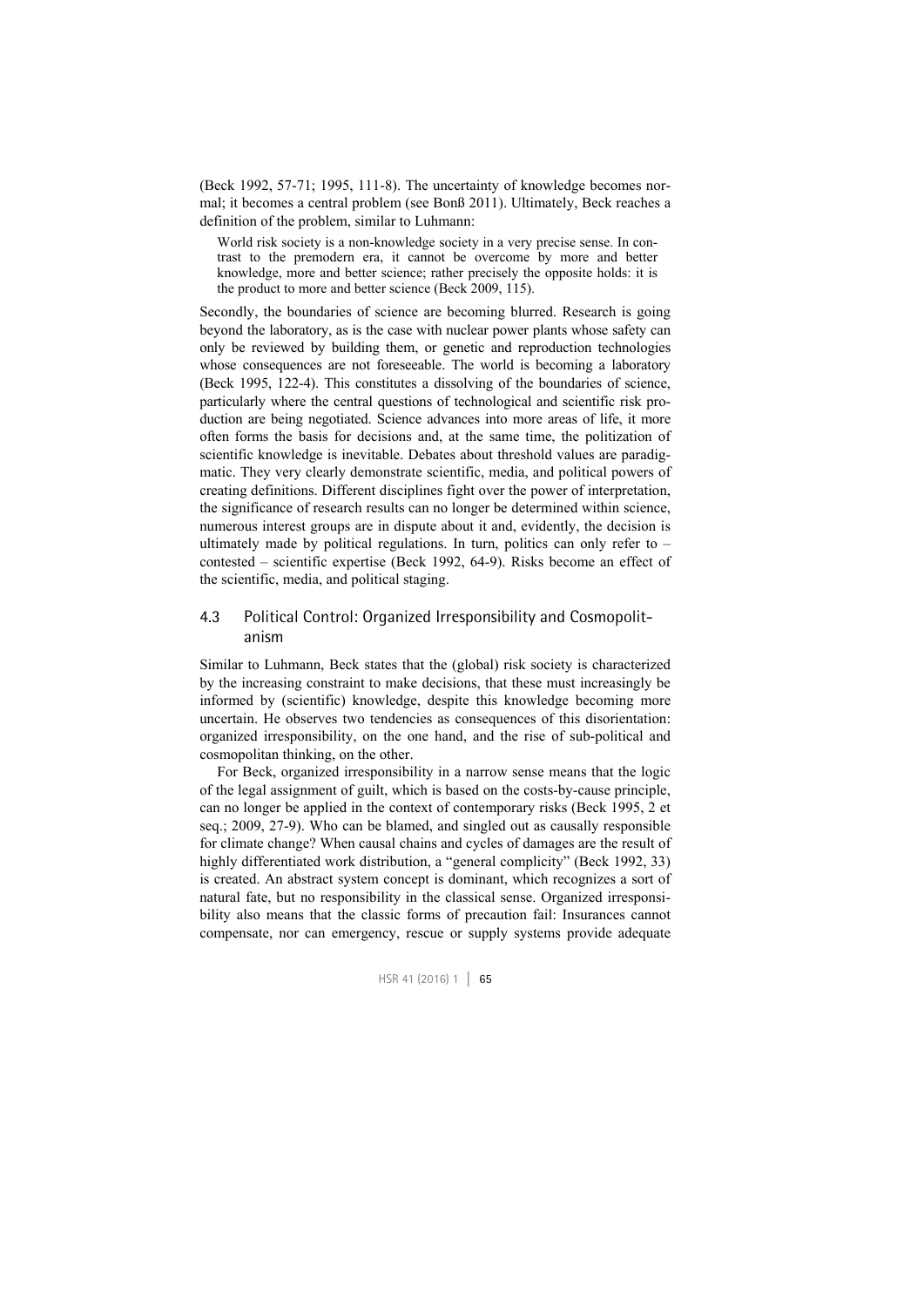(Beck 1992, 57-71; 1995, 111-8). The uncertainty of knowledge becomes normal; it becomes a central problem (see Bonß 2011). Ultimately, Beck reaches a definition of the problem, similar to Luhmann:

World risk society is a non-knowledge society in a very precise sense. In contrast to the premodern era, it cannot be overcome by more and better knowledge, more and better science; rather precisely the opposite holds: it is the product to more and better science (Beck 2009, 115).

Secondly, the boundaries of science are becoming blurred. Research is going beyond the laboratory, as is the case with nuclear power plants whose safety can only be reviewed by building them, or genetic and reproduction technologies whose consequences are not foreseeable. The world is becoming a laboratory (Beck 1995, 122-4). This constitutes a dissolving of the boundaries of science, particularly where the central questions of technological and scientific risk production are being negotiated. Science advances into more areas of life, it more often forms the basis for decisions and, at the same time, the politization of scientific knowledge is inevitable. Debates about threshold values are paradigmatic. They very clearly demonstrate scientific, media, and political powers of creating definitions. Different disciplines fight over the power of interpretation, the significance of research results can no longer be determined within science, numerous interest groups are in dispute about it and, evidently, the decision is ultimately made by political regulations. In turn, politics can only refer to  $$ contested – scientific expertise (Beck 1992, 64-9). Risks become an effect of the scientific, media, and political staging.

#### 4.3 Political Control: Organized Irresponsibility and Cosmopolitanism

Similar to Luhmann, Beck states that the (global) risk society is characterized by the increasing constraint to make decisions, that these must increasingly be informed by (scientific) knowledge, despite this knowledge becoming more uncertain. He observes two tendencies as consequences of this disorientation: organized irresponsibility, on the one hand, and the rise of sub-political and cosmopolitan thinking, on the other.

For Beck, organized irresponsibility in a narrow sense means that the logic of the legal assignment of guilt, which is based on the costs-by-cause principle, can no longer be applied in the context of contemporary risks (Beck 1995, 2 et seq.; 2009, 27-9). Who can be blamed, and singled out as causally responsible for climate change? When causal chains and cycles of damages are the result of highly differentiated work distribution, a "general complicity" (Beck 1992, 33) is created. An abstract system concept is dominant, which recognizes a sort of natural fate, but no responsibility in the classical sense. Organized irresponsibility also means that the classic forms of precaution fail: Insurances cannot compensate, nor can emergency, rescue or supply systems provide adequate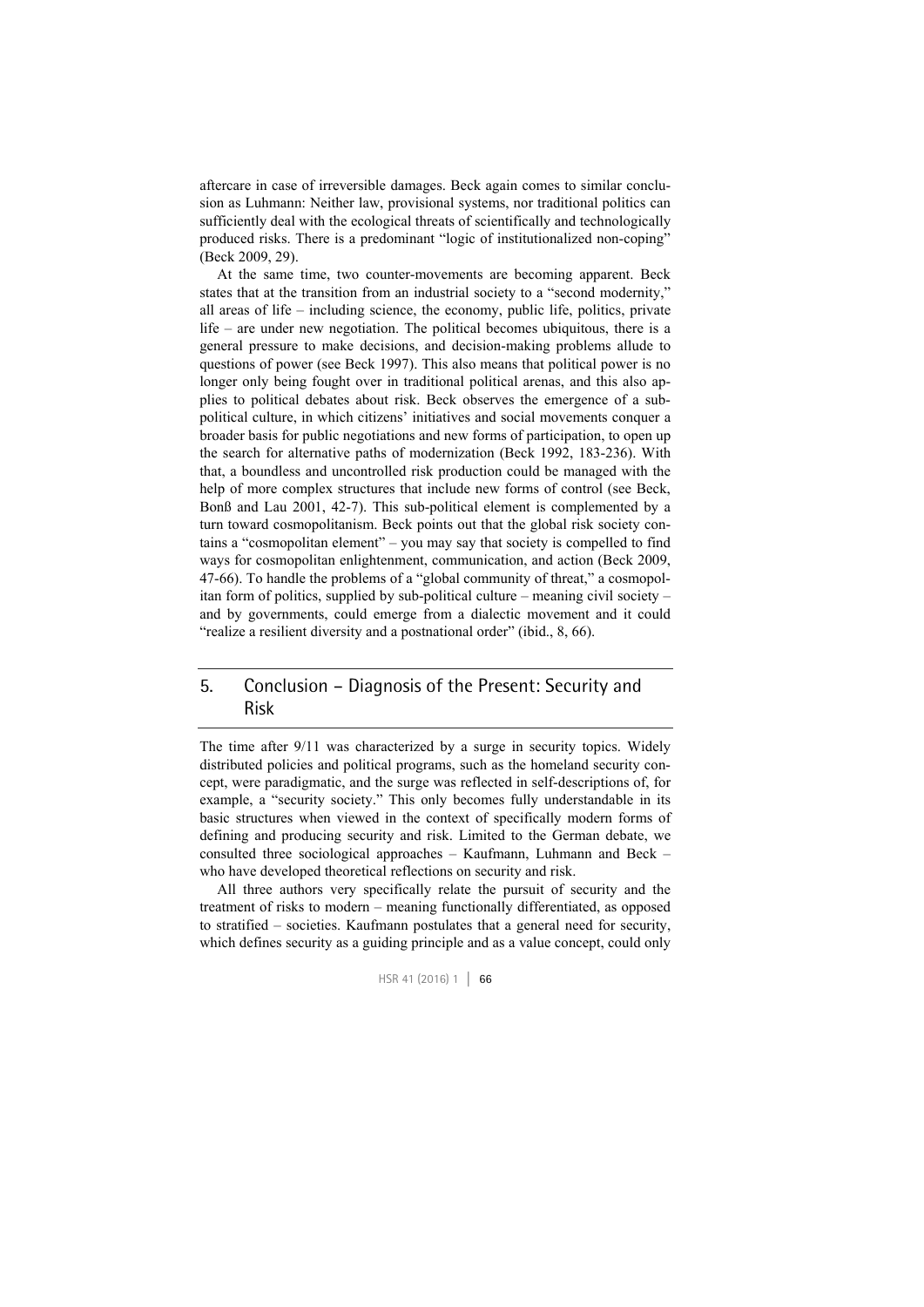aftercare in case of irreversible damages. Beck again comes to similar conclusion as Luhmann: Neither law, provisional systems, nor traditional politics can sufficiently deal with the ecological threats of scientifically and technologically produced risks. There is a predominant "logic of institutionalized non-coping" (Beck 2009, 29).

At the same time, two counter-movements are becoming apparent. Beck states that at the transition from an industrial society to a "second modernity," all areas of life – including science, the economy, public life, politics, private life – are under new negotiation. The political becomes ubiquitous, there is a general pressure to make decisions, and decision-making problems allude to questions of power (see Beck 1997). This also means that political power is no longer only being fought over in traditional political arenas, and this also applies to political debates about risk. Beck observes the emergence of a subpolitical culture, in which citizens' initiatives and social movements conquer a broader basis for public negotiations and new forms of participation, to open up the search for alternative paths of modernization (Beck 1992, 183-236). With that, a boundless and uncontrolled risk production could be managed with the help of more complex structures that include new forms of control (see Beck, Bonß and Lau 2001, 42-7). This sub-political element is complemented by a turn toward cosmopolitanism. Beck points out that the global risk society contains a "cosmopolitan element" – you may say that society is compelled to find ways for cosmopolitan enlightenment, communication, and action (Beck 2009, 47-66). To handle the problems of a "global community of threat," a cosmopolitan form of politics, supplied by sub-political culture – meaning civil society – and by governments, could emerge from a dialectic movement and it could "realize a resilient diversity and a postnational order" (ibid., 8, 66).

#### 5. Conclusion – Diagnosis of the Present: Security and Risk

The time after 9/11 was characterized by a surge in security topics. Widely distributed policies and political programs, such as the homeland security concept, were paradigmatic, and the surge was reflected in self-descriptions of, for example, a "security society." This only becomes fully understandable in its basic structures when viewed in the context of specifically modern forms of defining and producing security and risk. Limited to the German debate, we consulted three sociological approaches – Kaufmann, Luhmann and Beck – who have developed theoretical reflections on security and risk.

All three authors very specifically relate the pursuit of security and the treatment of risks to modern – meaning functionally differentiated, as opposed to stratified – societies. Kaufmann postulates that a general need for security, which defines security as a guiding principle and as a value concept, could only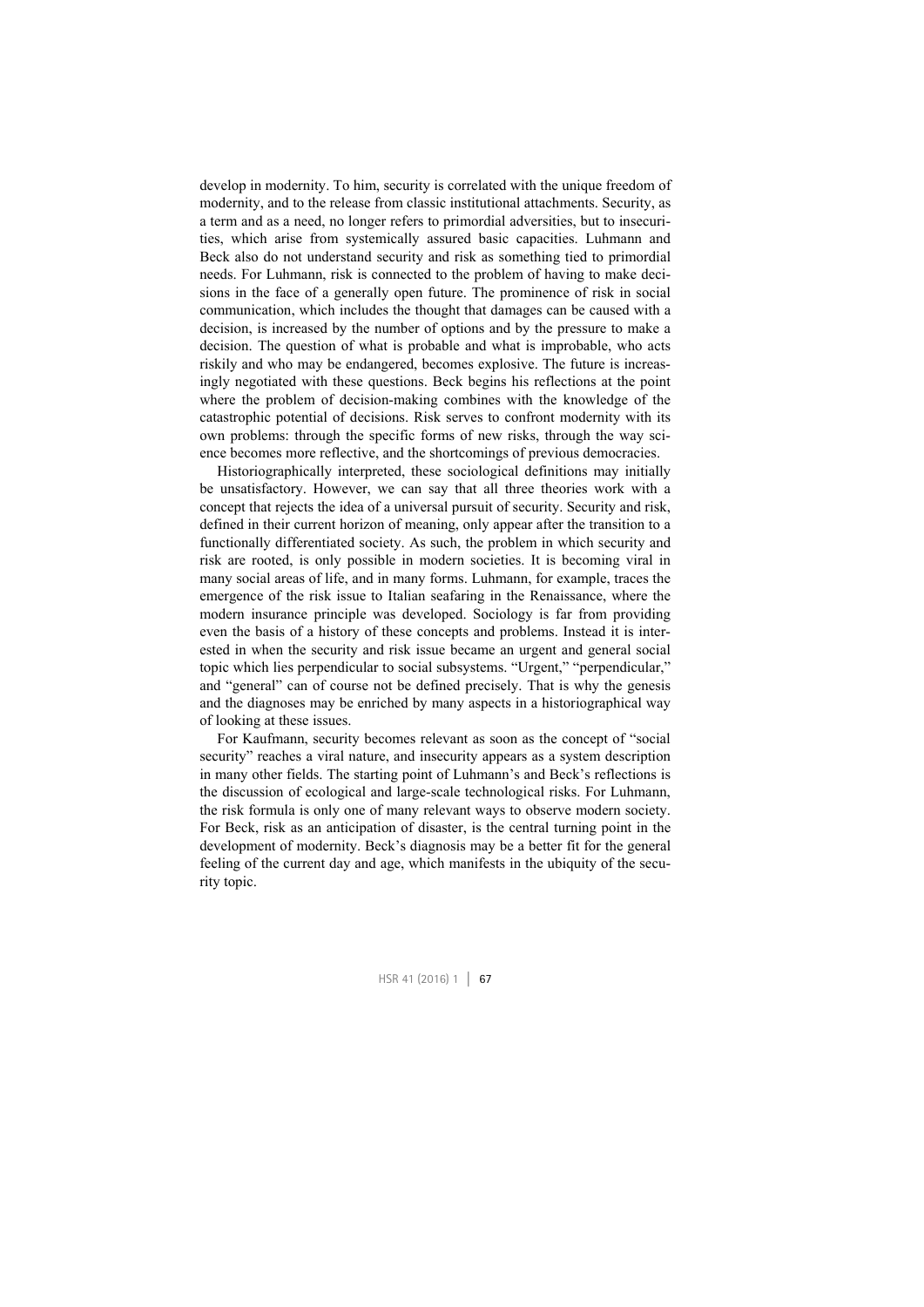develop in modernity. To him, security is correlated with the unique freedom of modernity, and to the release from classic institutional attachments. Security, as a term and as a need, no longer refers to primordial adversities, but to insecurities, which arise from systemically assured basic capacities. Luhmann and Beck also do not understand security and risk as something tied to primordial needs. For Luhmann, risk is connected to the problem of having to make decisions in the face of a generally open future. The prominence of risk in social communication, which includes the thought that damages can be caused with a decision, is increased by the number of options and by the pressure to make a decision. The question of what is probable and what is improbable, who acts riskily and who may be endangered, becomes explosive. The future is increasingly negotiated with these questions. Beck begins his reflections at the point where the problem of decision-making combines with the knowledge of the catastrophic potential of decisions. Risk serves to confront modernity with its own problems: through the specific forms of new risks, through the way science becomes more reflective, and the shortcomings of previous democracies.

Historiographically interpreted, these sociological definitions may initially be unsatisfactory. However, we can say that all three theories work with a concept that rejects the idea of a universal pursuit of security. Security and risk, defined in their current horizon of meaning, only appear after the transition to a functionally differentiated society. As such, the problem in which security and risk are rooted, is only possible in modern societies. It is becoming viral in many social areas of life, and in many forms. Luhmann, for example, traces the emergence of the risk issue to Italian seafaring in the Renaissance, where the modern insurance principle was developed. Sociology is far from providing even the basis of a history of these concepts and problems. Instead it is interested in when the security and risk issue became an urgent and general social topic which lies perpendicular to social subsystems. "Urgent," "perpendicular," and "general" can of course not be defined precisely. That is why the genesis and the diagnoses may be enriched by many aspects in a historiographical way of looking at these issues.

For Kaufmann, security becomes relevant as soon as the concept of "social security" reaches a viral nature, and insecurity appears as a system description in many other fields. The starting point of Luhmann's and Beck's reflections is the discussion of ecological and large-scale technological risks. For Luhmann, the risk formula is only one of many relevant ways to observe modern society. For Beck, risk as an anticipation of disaster, is the central turning point in the development of modernity. Beck's diagnosis may be a better fit for the general feeling of the current day and age, which manifests in the ubiquity of the security topic.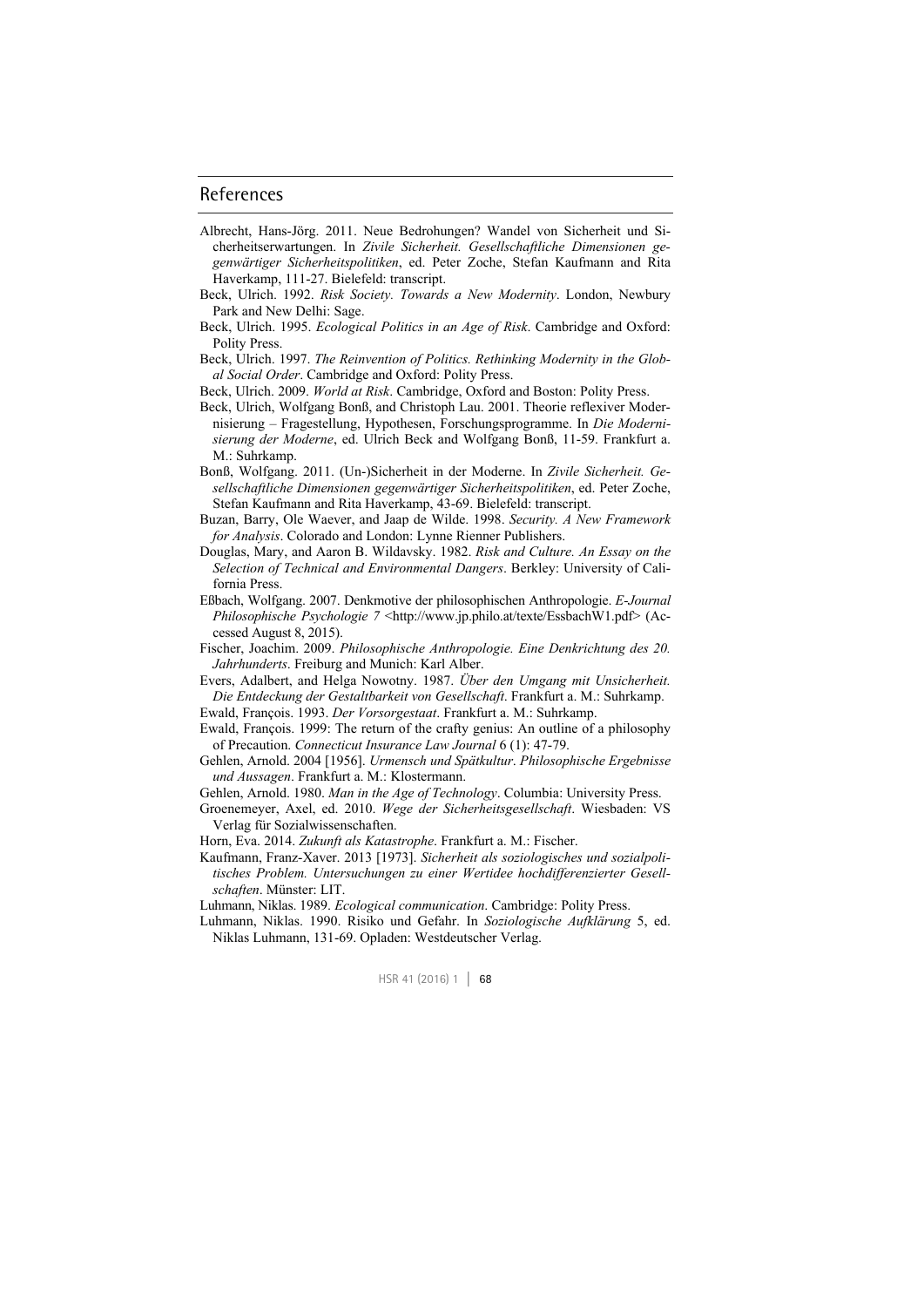#### References

- Albrecht, Hans-Jörg. 2011. Neue Bedrohungen? Wandel von Sicherheit und Sicherheitserwartungen. In *Zivile Sicherheit. Gesellschaftliche Dimensionen gegenwärtiger Sicherheitspolitiken*, ed. Peter Zoche, Stefan Kaufmann and Rita Haverkamp, 111-27. Bielefeld: transcript.
- Beck, Ulrich. 1992. *Risk Society. Towards a New Modernity*. London, Newbury Park and New Delhi: Sage.
- Beck, Ulrich. 1995. *Ecological Politics in an Age of Risk*. Cambridge and Oxford: Polity Press.
- Beck, Ulrich. 1997. *The Reinvention of Politics. Rethinking Modernity in the Global Social Order*. Cambridge and Oxford: Polity Press.
- Beck, Ulrich. 2009. *World at Risk*. Cambridge, Oxford and Boston: Polity Press.
- Beck, Ulrich, Wolfgang Bonß, and Christoph Lau. 2001. Theorie reflexiver Modernisierung – Fragestellung, Hypothesen, Forschungsprogramme. In *Die Modernisierung der Moderne*, ed. Ulrich Beck and Wolfgang Bonß, 11-59. Frankfurt a. M.: Suhrkamp.
- Bonß, Wolfgang. 2011. (Un-)Sicherheit in der Moderne. In *Zivile Sicherheit. Gesellschaftliche Dimensionen gegenwärtiger Sicherheitspolitiken*, ed. Peter Zoche, Stefan Kaufmann and Rita Haverkamp, 43-69. Bielefeld: transcript.
- Buzan, Barry, Ole Waever, and Jaap de Wilde. 1998. *Security. A New Framework for Analysis*. Colorado and London: Lynne Rienner Publishers.
- Douglas, Mary, and Aaron B. Wildavsky. 1982. *Risk and Culture. An Essay on the Selection of Technical and Environmental Dangers*. Berkley: University of California Press.
- Eßbach, Wolfgang. 2007. Denkmotive der philosophischen Anthropologie. *E-Journal Philosophische Psychologie 7* <http://www.jp.philo.at/texte/EssbachW1.pdf> (Accessed August 8, 2015).
- Fischer, Joachim. 2009. *Philosophische Anthropologie. Eine Denkrichtung des 20. Jahrhunderts*. Freiburg and Munich: Karl Alber.

Evers, Adalbert, and Helga Nowotny. 1987. *Über den Umgang mit Unsicherheit. Die Entdeckung der Gestaltbarkeit von Gesellschaft*. Frankfurt a. M.: Suhrkamp.

- Ewald, François. 1993. *Der Vorsorgestaat*. Frankfurt a. M.: Suhrkamp.
- Ewald, François. 1999: The return of the crafty genius: An outline of a philosophy of Precaution. *Connecticut Insurance Law Journal* 6 (1): 47-79.
- Gehlen, Arnold. 2004 [1956]. *Urmensch und Spätkultur*. *Philosophische Ergebnisse und Aussagen*. Frankfurt a. M.: Klostermann.

Gehlen, Arnold. 1980. *Man in the Age of Technology*. Columbia: University Press.

Groenemeyer, Axel, ed. 2010. *Wege der Sicherheitsgesellschaft*. Wiesbaden: VS Verlag für Sozialwissenschaften.

Horn, Eva. 2014. *Zukunft als Katastrophe*. Frankfurt a. M.: Fischer.

- Kaufmann, Franz-Xaver. 2013 [1973]. *Sicherheit als soziologisches und sozialpolitisches Problem. Untersuchungen zu einer Wertidee hochdifferenzierter Gesellschaften*. Münster: LIT.
- Luhmann, Niklas. 1989. *Ecological communication*. Cambridge: Polity Press.
- Luhmann, Niklas. 1990. Risiko und Gefahr. In *Soziologische Aufklärung* 5, ed. Niklas Luhmann, 131-69. Opladen: Westdeutscher Verlag.